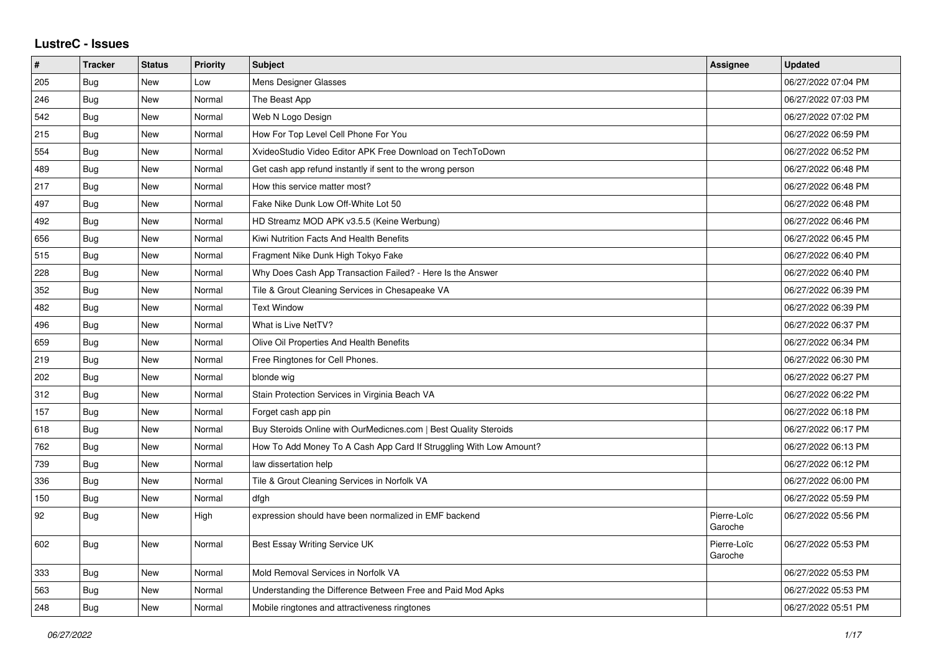## **LustreC - Issues**

| $\vert$ # | <b>Tracker</b> | <b>Status</b> | <b>Priority</b> | <b>Subject</b>                                                     | <b>Assignee</b>        | <b>Updated</b>      |
|-----------|----------------|---------------|-----------------|--------------------------------------------------------------------|------------------------|---------------------|
| 205       | Bug            | New           | Low             | Mens Designer Glasses                                              |                        | 06/27/2022 07:04 PM |
| 246       | <b>Bug</b>     | <b>New</b>    | Normal          | The Beast App                                                      |                        | 06/27/2022 07:03 PM |
| 542       | <b>Bug</b>     | New           | Normal          | Web N Logo Design                                                  |                        | 06/27/2022 07:02 PM |
| 215       | <b>Bug</b>     | New           | Normal          | How For Top Level Cell Phone For You                               |                        | 06/27/2022 06:59 PM |
| 554       | Bug            | New           | Normal          | XvideoStudio Video Editor APK Free Download on TechToDown          |                        | 06/27/2022 06:52 PM |
| 489       | Bug            | New           | Normal          | Get cash app refund instantly if sent to the wrong person          |                        | 06/27/2022 06:48 PM |
| 217       | Bug            | New           | Normal          | How this service matter most?                                      |                        | 06/27/2022 06:48 PM |
| 497       | Bug            | New           | Normal          | Fake Nike Dunk Low Off-White Lot 50                                |                        | 06/27/2022 06:48 PM |
| 492       | Bug            | New           | Normal          | HD Streamz MOD APK v3.5.5 (Keine Werbung)                          |                        | 06/27/2022 06:46 PM |
| 656       | <b>Bug</b>     | New           | Normal          | Kiwi Nutrition Facts And Health Benefits                           |                        | 06/27/2022 06:45 PM |
| 515       | Bug            | New           | Normal          | Fragment Nike Dunk High Tokyo Fake                                 |                        | 06/27/2022 06:40 PM |
| 228       | <b>Bug</b>     | New           | Normal          | Why Does Cash App Transaction Failed? - Here Is the Answer         |                        | 06/27/2022 06:40 PM |
| 352       | Bug            | New           | Normal          | Tile & Grout Cleaning Services in Chesapeake VA                    |                        | 06/27/2022 06:39 PM |
| 482       | Bug            | New           | Normal          | <b>Text Window</b>                                                 |                        | 06/27/2022 06:39 PM |
| 496       | <b>Bug</b>     | New           | Normal          | What is Live NetTV?                                                |                        | 06/27/2022 06:37 PM |
| 659       | Bug            | New           | Normal          | Olive Oil Properties And Health Benefits                           |                        | 06/27/2022 06:34 PM |
| 219       | Bug            | New           | Normal          | Free Ringtones for Cell Phones.                                    |                        | 06/27/2022 06:30 PM |
| 202       | <b>Bug</b>     | New           | Normal          | blonde wig                                                         |                        | 06/27/2022 06:27 PM |
| 312       | Bug            | New           | Normal          | Stain Protection Services in Virginia Beach VA                     |                        | 06/27/2022 06:22 PM |
| 157       | <b>Bug</b>     | New           | Normal          | Forget cash app pin                                                |                        | 06/27/2022 06:18 PM |
| 618       | <b>Bug</b>     | New           | Normal          | Buy Steroids Online with OurMedicnes.com   Best Quality Steroids   |                        | 06/27/2022 06:17 PM |
| 762       | Bug            | New           | Normal          | How To Add Money To A Cash App Card If Struggling With Low Amount? |                        | 06/27/2022 06:13 PM |
| 739       | <b>Bug</b>     | New           | Normal          | law dissertation help                                              |                        | 06/27/2022 06:12 PM |
| 336       | <b>Bug</b>     | New           | Normal          | Tile & Grout Cleaning Services in Norfolk VA                       |                        | 06/27/2022 06:00 PM |
| 150       | Bug            | New           | Normal          | dfgh                                                               |                        | 06/27/2022 05:59 PM |
| 92        | Bug            | New           | High            | expression should have been normalized in EMF backend              | Pierre-Loïc<br>Garoche | 06/27/2022 05:56 PM |
| 602       | <b>Bug</b>     | New           | Normal          | Best Essay Writing Service UK                                      | Pierre-Loïc<br>Garoche | 06/27/2022 05:53 PM |
| 333       | Bug            | New           | Normal          | Mold Removal Services in Norfolk VA                                |                        | 06/27/2022 05:53 PM |
| 563       | <b>Bug</b>     | New           | Normal          | Understanding the Difference Between Free and Paid Mod Apks        |                        | 06/27/2022 05:53 PM |
| 248       | Bug            | New           | Normal          | Mobile ringtones and attractiveness ringtones                      |                        | 06/27/2022 05:51 PM |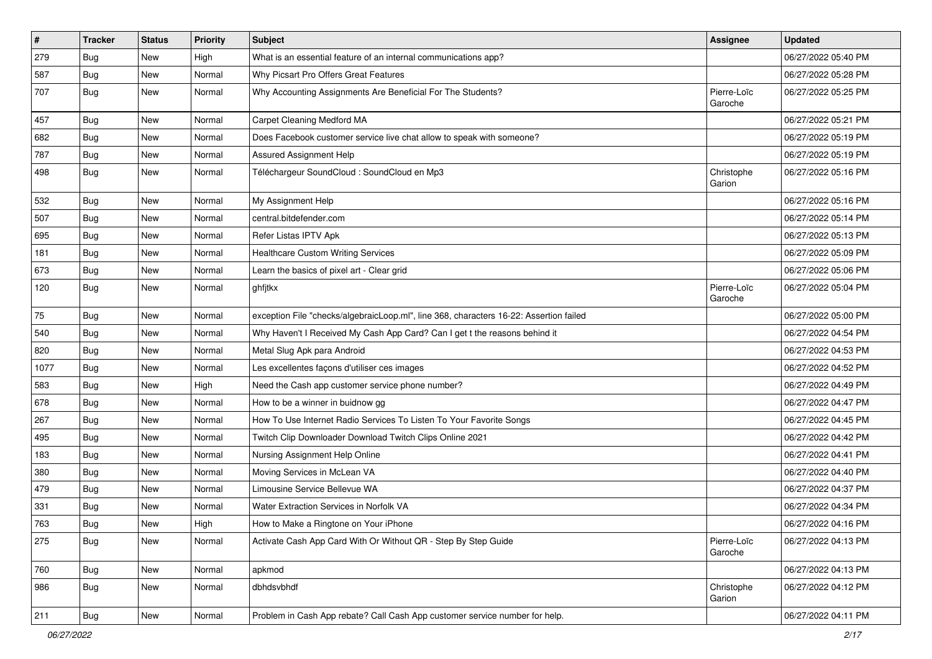| $\vert$ # | <b>Tracker</b> | <b>Status</b> | <b>Priority</b> | <b>Subject</b>                                                                         | <b>Assignee</b>        | <b>Updated</b>      |
|-----------|----------------|---------------|-----------------|----------------------------------------------------------------------------------------|------------------------|---------------------|
| 279       | <b>Bug</b>     | New           | High            | What is an essential feature of an internal communications app?                        |                        | 06/27/2022 05:40 PM |
| 587       | <b>Bug</b>     | New           | Normal          | Why Picsart Pro Offers Great Features                                                  |                        | 06/27/2022 05:28 PM |
| 707       | Bug            | <b>New</b>    | Normal          | Why Accounting Assignments Are Beneficial For The Students?                            | Pierre-Loïc<br>Garoche | 06/27/2022 05:25 PM |
| 457       | Bug            | <b>New</b>    | Normal          | Carpet Cleaning Medford MA                                                             |                        | 06/27/2022 05:21 PM |
| 682       | <b>Bug</b>     | New           | Normal          | Does Facebook customer service live chat allow to speak with someone?                  |                        | 06/27/2022 05:19 PM |
| 787       | <b>Bug</b>     | New           | Normal          | Assured Assignment Help                                                                |                        | 06/27/2022 05:19 PM |
| 498       | Bug            | New           | Normal          | Téléchargeur SoundCloud : SoundCloud en Mp3                                            | Christophe<br>Garion   | 06/27/2022 05:16 PM |
| 532       | Bug            | New           | Normal          | My Assignment Help                                                                     |                        | 06/27/2022 05:16 PM |
| 507       | Bug            | New           | Normal          | central.bitdefender.com                                                                |                        | 06/27/2022 05:14 PM |
| 695       | <b>Bug</b>     | New           | Normal          | Refer Listas IPTV Apk                                                                  |                        | 06/27/2022 05:13 PM |
| 181       | Bug            | <b>New</b>    | Normal          | <b>Healthcare Custom Writing Services</b>                                              |                        | 06/27/2022 05:09 PM |
| 673       | <b>Bug</b>     | New           | Normal          | Learn the basics of pixel art - Clear grid                                             |                        | 06/27/2022 05:06 PM |
| 120       | <b>Bug</b>     | New           | Normal          | ghfjtkx                                                                                | Pierre-Loïc<br>Garoche | 06/27/2022 05:04 PM |
| 75        | Bug            | New           | Normal          | exception File "checks/algebraicLoop.ml", line 368, characters 16-22: Assertion failed |                        | 06/27/2022 05:00 PM |
| 540       | Bug            | New           | Normal          | Why Haven't I Received My Cash App Card? Can I get t the reasons behind it             |                        | 06/27/2022 04:54 PM |
| 820       | Bug            | New           | Normal          | Metal Slug Apk para Android                                                            |                        | 06/27/2022 04:53 PM |
| 1077      | <b>Bug</b>     | New           | Normal          | Les excellentes façons d'utiliser ces images                                           |                        | 06/27/2022 04:52 PM |
| 583       | Bug            | <b>New</b>    | High            | Need the Cash app customer service phone number?                                       |                        | 06/27/2022 04:49 PM |
| 678       | <b>Bug</b>     | New           | Normal          | How to be a winner in buidnow gg                                                       |                        | 06/27/2022 04:47 PM |
| 267       | <b>Bug</b>     | New           | Normal          | How To Use Internet Radio Services To Listen To Your Favorite Songs                    |                        | 06/27/2022 04:45 PM |
| 495       | Bug            | New           | Normal          | Twitch Clip Downloader Download Twitch Clips Online 2021                               |                        | 06/27/2022 04:42 PM |
| 183       | <b>Bug</b>     | New           | Normal          | Nursing Assignment Help Online                                                         |                        | 06/27/2022 04:41 PM |
| 380       | Bug            | <b>New</b>    | Normal          | Moving Services in McLean VA                                                           |                        | 06/27/2022 04:40 PM |
| 479       | <b>Bug</b>     | New           | Normal          | Limousine Service Bellevue WA                                                          |                        | 06/27/2022 04:37 PM |
| 331       | <b>Bug</b>     | New           | Normal          | Water Extraction Services in Norfolk VA                                                |                        | 06/27/2022 04:34 PM |
| 763       | Bug            | New           | High            | How to Make a Ringtone on Your iPhone                                                  |                        | 06/27/2022 04:16 PM |
| 275       | <b>Bug</b>     | New           | Normal          | Activate Cash App Card With Or Without QR - Step By Step Guide                         | Pierre-Loïc<br>Garoche | 06/27/2022 04:13 PM |
| 760       | <b>Bug</b>     | New           | Normal          | apkmod                                                                                 |                        | 06/27/2022 04:13 PM |
| 986       | <b>Bug</b>     | New           | Normal          | dbhdsvbhdf                                                                             | Christophe<br>Garion   | 06/27/2022 04:12 PM |
| 211       | <b>Bug</b>     | New           | Normal          | Problem in Cash App rebate? Call Cash App customer service number for help.            |                        | 06/27/2022 04:11 PM |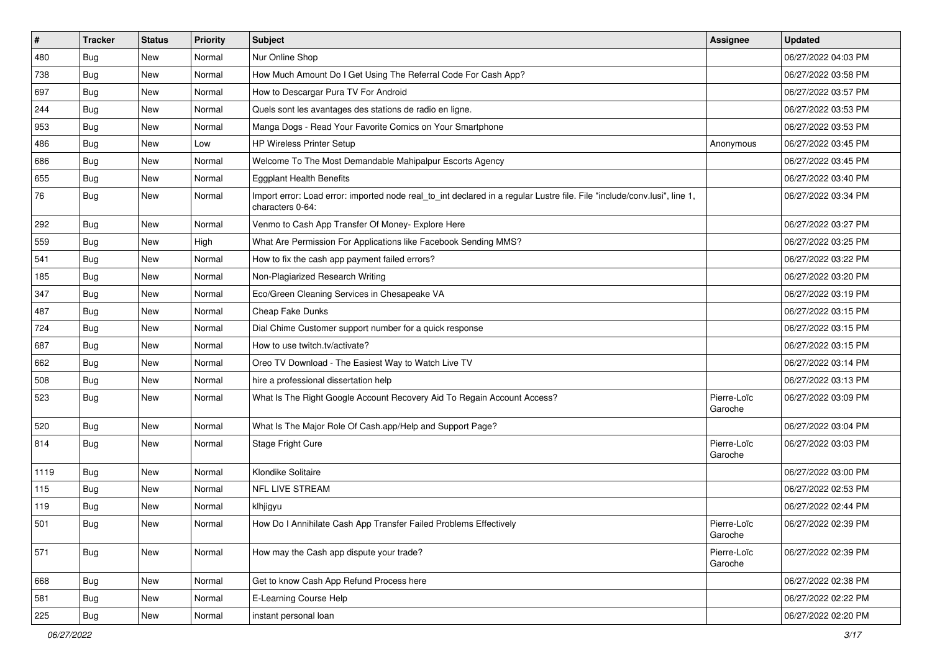| $\sharp$ | <b>Tracker</b> | <b>Status</b> | <b>Priority</b> | <b>Subject</b>                                                                                                                               | <b>Assignee</b>        | <b>Updated</b>      |
|----------|----------------|---------------|-----------------|----------------------------------------------------------------------------------------------------------------------------------------------|------------------------|---------------------|
| 480      | Bug            | New           | Normal          | Nur Online Shop                                                                                                                              |                        | 06/27/2022 04:03 PM |
| 738      | Bug            | New           | Normal          | How Much Amount Do I Get Using The Referral Code For Cash App?                                                                               |                        | 06/27/2022 03:58 PM |
| 697      | Bug            | New           | Normal          | How to Descargar Pura TV For Android                                                                                                         |                        | 06/27/2022 03:57 PM |
| 244      | <b>Bug</b>     | <b>New</b>    | Normal          | Quels sont les avantages des stations de radio en ligne.                                                                                     |                        | 06/27/2022 03:53 PM |
| 953      | Bug            | New           | Normal          | Manga Dogs - Read Your Favorite Comics on Your Smartphone                                                                                    |                        | 06/27/2022 03:53 PM |
| 486      | <b>Bug</b>     | New           | Low             | <b>HP Wireless Printer Setup</b>                                                                                                             | Anonymous              | 06/27/2022 03:45 PM |
| 686      | Bug            | New           | Normal          | Welcome To The Most Demandable Mahipalpur Escorts Agency                                                                                     |                        | 06/27/2022 03:45 PM |
| 655      | <b>Bug</b>     | New           | Normal          | <b>Eggplant Health Benefits</b>                                                                                                              |                        | 06/27/2022 03:40 PM |
| 76       | <b>Bug</b>     | New           | Normal          | Import error: Load error: imported node real_to_int declared in a regular Lustre file. File "include/conv.lusi", line 1,<br>characters 0-64: |                        | 06/27/2022 03:34 PM |
| 292      | Bug            | New           | Normal          | Venmo to Cash App Transfer Of Money- Explore Here                                                                                            |                        | 06/27/2022 03:27 PM |
| 559      | <b>Bug</b>     | <b>New</b>    | High            | What Are Permission For Applications like Facebook Sending MMS?                                                                              |                        | 06/27/2022 03:25 PM |
| 541      | Bug            | New           | Normal          | How to fix the cash app payment failed errors?                                                                                               |                        | 06/27/2022 03:22 PM |
| 185      | Bug            | New           | Normal          | Non-Plagiarized Research Writing                                                                                                             |                        | 06/27/2022 03:20 PM |
| 347      | Bug            | <b>New</b>    | Normal          | Eco/Green Cleaning Services in Chesapeake VA                                                                                                 |                        | 06/27/2022 03:19 PM |
| 487      | <b>Bug</b>     | New           | Normal          | Cheap Fake Dunks                                                                                                                             |                        | 06/27/2022 03:15 PM |
| 724      | <b>Bug</b>     | New           | Normal          | Dial Chime Customer support number for a quick response                                                                                      |                        | 06/27/2022 03:15 PM |
| 687      | Bug            | New           | Normal          | How to use twitch.tv/activate?                                                                                                               |                        | 06/27/2022 03:15 PM |
| 662      | <b>Bug</b>     | <b>New</b>    | Normal          | Oreo TV Download - The Easiest Way to Watch Live TV                                                                                          |                        | 06/27/2022 03:14 PM |
| 508      | Bug            | New           | Normal          | hire a professional dissertation help                                                                                                        |                        | 06/27/2022 03:13 PM |
| 523      | <b>Bug</b>     | New           | Normal          | What Is The Right Google Account Recovery Aid To Regain Account Access?                                                                      | Pierre-Loïc<br>Garoche | 06/27/2022 03:09 PM |
| 520      | <b>Bug</b>     | <b>New</b>    | Normal          | What Is The Major Role Of Cash.app/Help and Support Page?                                                                                    |                        | 06/27/2022 03:04 PM |
| 814      | Bug            | New           | Normal          | Stage Fright Cure                                                                                                                            | Pierre-Loïc<br>Garoche | 06/27/2022 03:03 PM |
| 1119     | Bug            | New           | Normal          | Klondike Solitaire                                                                                                                           |                        | 06/27/2022 03:00 PM |
| 115      | <b>Bug</b>     | <b>New</b>    | Normal          | <b>NFL LIVE STREAM</b>                                                                                                                       |                        | 06/27/2022 02:53 PM |
| 119      | <b>Bug</b>     | New           | Normal          | klhjigyu                                                                                                                                     |                        | 06/27/2022 02:44 PM |
| 501      | <b>Bug</b>     | New           | Normal          | How Do I Annihilate Cash App Transfer Failed Problems Effectively                                                                            | Pierre-Loïc<br>Garoche | 06/27/2022 02:39 PM |
| 571      | Bug            | New           | Normal          | How may the Cash app dispute your trade?                                                                                                     | Pierre-Loïc<br>Garoche | 06/27/2022 02:39 PM |
| 668      | Bug            | New           | Normal          | Get to know Cash App Refund Process here                                                                                                     |                        | 06/27/2022 02:38 PM |
| 581      | Bug            | New           | Normal          | E-Learning Course Help                                                                                                                       |                        | 06/27/2022 02:22 PM |
| 225      | <b>Bug</b>     | New           | Normal          | instant personal loan                                                                                                                        |                        | 06/27/2022 02:20 PM |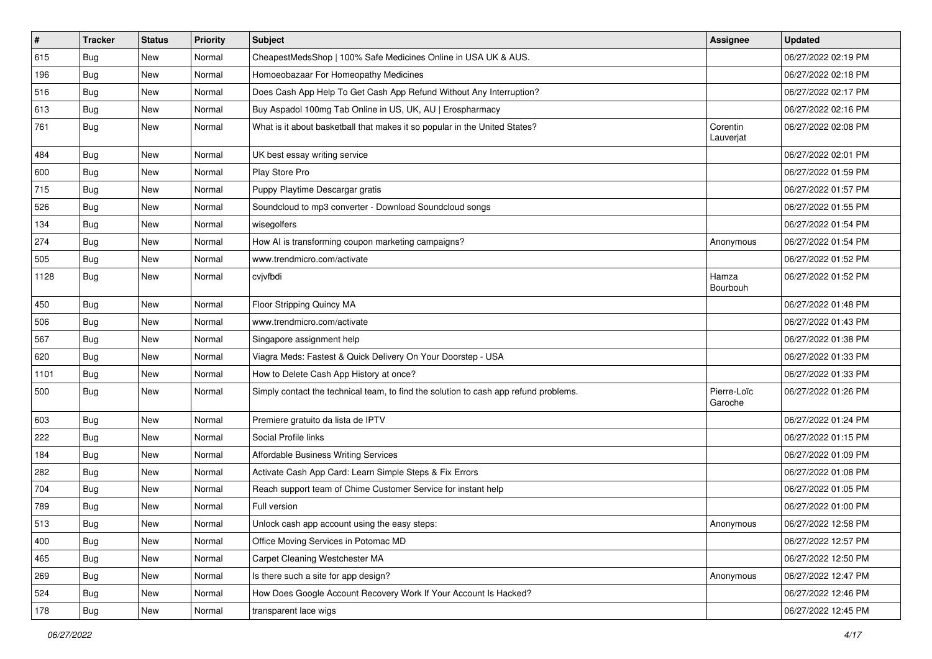| $\vert$ # | <b>Tracker</b> | <b>Status</b> | Priority | <b>Subject</b>                                                                       | <b>Assignee</b>        | <b>Updated</b>      |
|-----------|----------------|---------------|----------|--------------------------------------------------------------------------------------|------------------------|---------------------|
| 615       | <b>Bug</b>     | New           | Normal   | CheapestMedsShop   100% Safe Medicines Online in USA UK & AUS.                       |                        | 06/27/2022 02:19 PM |
| 196       | <b>Bug</b>     | New           | Normal   | Homoeobazaar For Homeopathy Medicines                                                |                        | 06/27/2022 02:18 PM |
| 516       | <b>Bug</b>     | New           | Normal   | Does Cash App Help To Get Cash App Refund Without Any Interruption?                  |                        | 06/27/2022 02:17 PM |
| 613       | <b>Bug</b>     | New           | Normal   | Buy Aspadol 100mg Tab Online in US, UK, AU   Erospharmacy                            |                        | 06/27/2022 02:16 PM |
| 761       | Bug            | <b>New</b>    | Normal   | What is it about basketball that makes it so popular in the United States?           | Corentin<br>Lauverjat  | 06/27/2022 02:08 PM |
| 484       | <b>Bug</b>     | New           | Normal   | UK best essay writing service                                                        |                        | 06/27/2022 02:01 PM |
| 600       | Bug            | New           | Normal   | Play Store Pro                                                                       |                        | 06/27/2022 01:59 PM |
| 715       | <b>Bug</b>     | New           | Normal   | Puppy Playtime Descargar gratis                                                      |                        | 06/27/2022 01:57 PM |
| 526       | Bug            | New           | Normal   | Soundcloud to mp3 converter - Download Soundcloud songs                              |                        | 06/27/2022 01:55 PM |
| 134       | Bug            | New           | Normal   | wisegolfers                                                                          |                        | 06/27/2022 01:54 PM |
| 274       | <b>Bug</b>     | New           | Normal   | How AI is transforming coupon marketing campaigns?                                   | Anonymous              | 06/27/2022 01:54 PM |
| 505       | <b>Bug</b>     | <b>New</b>    | Normal   | www.trendmicro.com/activate                                                          |                        | 06/27/2022 01:52 PM |
| 1128      | Bug            | New           | Normal   | cvjvfbdi                                                                             | Hamza<br>Bourbouh      | 06/27/2022 01:52 PM |
| 450       | <b>Bug</b>     | New           | Normal   | Floor Stripping Quincy MA                                                            |                        | 06/27/2022 01:48 PM |
| 506       | <b>Bug</b>     | New           | Normal   | www.trendmicro.com/activate                                                          |                        | 06/27/2022 01:43 PM |
| 567       | Bug            | <b>New</b>    | Normal   | Singapore assignment help                                                            |                        | 06/27/2022 01:38 PM |
| 620       | <b>Bug</b>     | New           | Normal   | Viagra Meds: Fastest & Quick Delivery On Your Doorstep - USA                         |                        | 06/27/2022 01:33 PM |
| 1101      | <b>Bug</b>     | New           | Normal   | How to Delete Cash App History at once?                                              |                        | 06/27/2022 01:33 PM |
| 500       | Bug            | New           | Normal   | Simply contact the technical team, to find the solution to cash app refund problems. | Pierre-Loïc<br>Garoche | 06/27/2022 01:26 PM |
| 603       | <b>Bug</b>     | New           | Normal   | Premiere gratuito da lista de IPTV                                                   |                        | 06/27/2022 01:24 PM |
| 222       | <b>Bug</b>     | New           | Normal   | Social Profile links                                                                 |                        | 06/27/2022 01:15 PM |
| 184       | <b>Bug</b>     | New           | Normal   | Affordable Business Writing Services                                                 |                        | 06/27/2022 01:09 PM |
| 282       | Bug            | <b>New</b>    | Normal   | Activate Cash App Card: Learn Simple Steps & Fix Errors                              |                        | 06/27/2022 01:08 PM |
| 704       | Bug            | New           | Normal   | Reach support team of Chime Customer Service for instant help                        |                        | 06/27/2022 01:05 PM |
| 789       | <b>Bug</b>     | New           | Normal   | Full version                                                                         |                        | 06/27/2022 01:00 PM |
| 513       | <b>Bug</b>     | New           | Normal   | Unlock cash app account using the easy steps:                                        | Anonymous              | 06/27/2022 12:58 PM |
| 400       | <b>Bug</b>     | New           | Normal   | Office Moving Services in Potomac MD                                                 |                        | 06/27/2022 12:57 PM |
| 465       | <b>Bug</b>     | New           | Normal   | Carpet Cleaning Westchester MA                                                       |                        | 06/27/2022 12:50 PM |
| 269       | Bug            | New           | Normal   | Is there such a site for app design?                                                 | Anonymous              | 06/27/2022 12:47 PM |
| 524       | Bug            | New           | Normal   | How Does Google Account Recovery Work If Your Account Is Hacked?                     |                        | 06/27/2022 12:46 PM |
| 178       | Bug            | New           | Normal   | transparent lace wigs                                                                |                        | 06/27/2022 12:45 PM |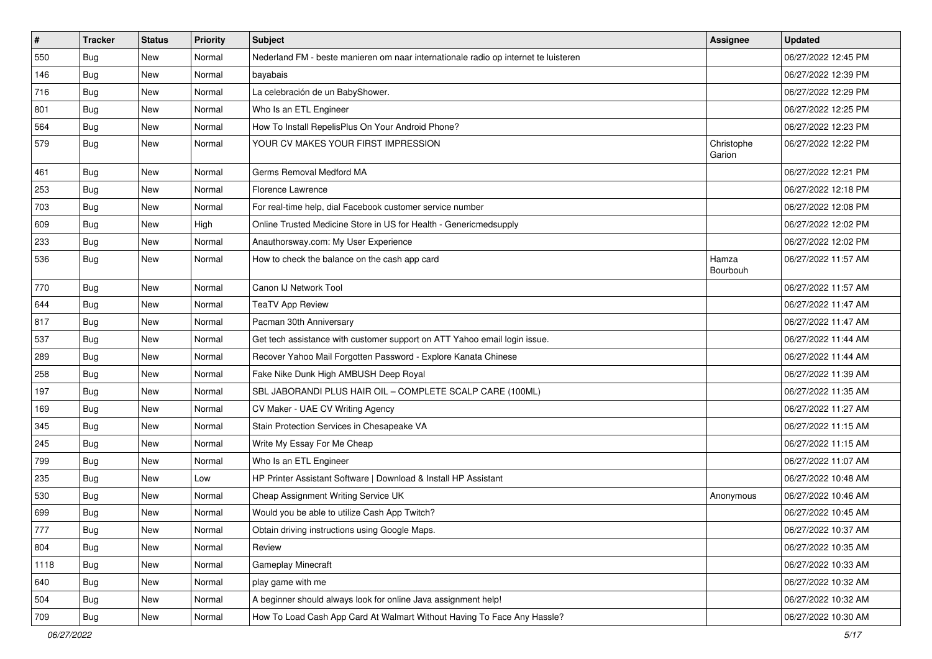| $\sharp$ | <b>Tracker</b> | <b>Status</b> | Priority | <b>Subject</b>                                                                      | <b>Assignee</b>      | <b>Updated</b>      |
|----------|----------------|---------------|----------|-------------------------------------------------------------------------------------|----------------------|---------------------|
| 550      | <b>Bug</b>     | New           | Normal   | Nederland FM - beste manieren om naar internationale radio op internet te luisteren |                      | 06/27/2022 12:45 PM |
| 146      | Bug            | <b>New</b>    | Normal   | bayabais                                                                            |                      | 06/27/2022 12:39 PM |
| 716      | Bug            | New           | Normal   | La celebración de un BabyShower.                                                    |                      | 06/27/2022 12:29 PM |
| 801      | <b>Bug</b>     | <b>New</b>    | Normal   | Who Is an ETL Engineer                                                              |                      | 06/27/2022 12:25 PM |
| 564      | Bug            | New           | Normal   | How To Install RepelisPlus On Your Android Phone?                                   |                      | 06/27/2022 12:23 PM |
| 579      | <b>Bug</b>     | <b>New</b>    | Normal   | YOUR CV MAKES YOUR FIRST IMPRESSION                                                 | Christophe<br>Garion | 06/27/2022 12:22 PM |
| 461      | Bug            | <b>New</b>    | Normal   | Germs Removal Medford MA                                                            |                      | 06/27/2022 12:21 PM |
| 253      | <b>Bug</b>     | New           | Normal   | Florence Lawrence                                                                   |                      | 06/27/2022 12:18 PM |
| 703      | Bug            | <b>New</b>    | Normal   | For real-time help, dial Facebook customer service number                           |                      | 06/27/2022 12:08 PM |
| 609      | Bug            | New           | High     | Online Trusted Medicine Store in US for Health - Genericmedsupply                   |                      | 06/27/2022 12:02 PM |
| 233      | <b>Bug</b>     | <b>New</b>    | Normal   | Anauthorsway.com: My User Experience                                                |                      | 06/27/2022 12:02 PM |
| 536      | <b>Bug</b>     | New           | Normal   | How to check the balance on the cash app card                                       | Hamza<br>Bourbouh    | 06/27/2022 11:57 AM |
| 770      | Bug            | New           | Normal   | Canon IJ Network Tool                                                               |                      | 06/27/2022 11:57 AM |
| 644      | Bug            | <b>New</b>    | Normal   | <b>TeaTV App Review</b>                                                             |                      | 06/27/2022 11:47 AM |
| 817      | Bug            | New           | Normal   | Pacman 30th Anniversary                                                             |                      | 06/27/2022 11:47 AM |
| 537      | <b>Bug</b>     | New           | Normal   | Get tech assistance with customer support on ATT Yahoo email login issue.           |                      | 06/27/2022 11:44 AM |
| 289      | <b>Bug</b>     | New           | Normal   | Recover Yahoo Mail Forgotten Password - Explore Kanata Chinese                      |                      | 06/27/2022 11:44 AM |
| 258      | Bug            | New           | Normal   | Fake Nike Dunk High AMBUSH Deep Royal                                               |                      | 06/27/2022 11:39 AM |
| 197      | Bug            | New           | Normal   | SBL JABORANDI PLUS HAIR OIL - COMPLETE SCALP CARE (100ML)                           |                      | 06/27/2022 11:35 AM |
| 169      | Bug            | New           | Normal   | CV Maker - UAE CV Writing Agency                                                    |                      | 06/27/2022 11:27 AM |
| 345      | Bug            | <b>New</b>    | Normal   | Stain Protection Services in Chesapeake VA                                          |                      | 06/27/2022 11:15 AM |
| 245      | <b>Bug</b>     | New           | Normal   | Write My Essay For Me Cheap                                                         |                      | 06/27/2022 11:15 AM |
| 799      | <b>Bug</b>     | <b>New</b>    | Normal   | Who Is an ETL Engineer                                                              |                      | 06/27/2022 11:07 AM |
| 235      | Bug            | New           | Low      | HP Printer Assistant Software   Download & Install HP Assistant                     |                      | 06/27/2022 10:48 AM |
| 530      | <b>Bug</b>     | New           | Normal   | Cheap Assignment Writing Service UK                                                 | Anonymous            | 06/27/2022 10:46 AM |
| 699      | <b>Bug</b>     | New           | Normal   | Would you be able to utilize Cash App Twitch?                                       |                      | 06/27/2022 10:45 AM |
| 777      | Bug            | New           | Normal   | Obtain driving instructions using Google Maps.                                      |                      | 06/27/2022 10:37 AM |
| 804      | Bug            | New           | Normal   | Review                                                                              |                      | 06/27/2022 10:35 AM |
| 1118     | Bug            | New           | Normal   | Gameplay Minecraft                                                                  |                      | 06/27/2022 10:33 AM |
| 640      | <b>Bug</b>     | New           | Normal   | play game with me                                                                   |                      | 06/27/2022 10:32 AM |
| 504      | <b>Bug</b>     | New           | Normal   | A beginner should always look for online Java assignment help!                      |                      | 06/27/2022 10:32 AM |
| 709      | Bug            | New           | Normal   | How To Load Cash App Card At Walmart Without Having To Face Any Hassle?             |                      | 06/27/2022 10:30 AM |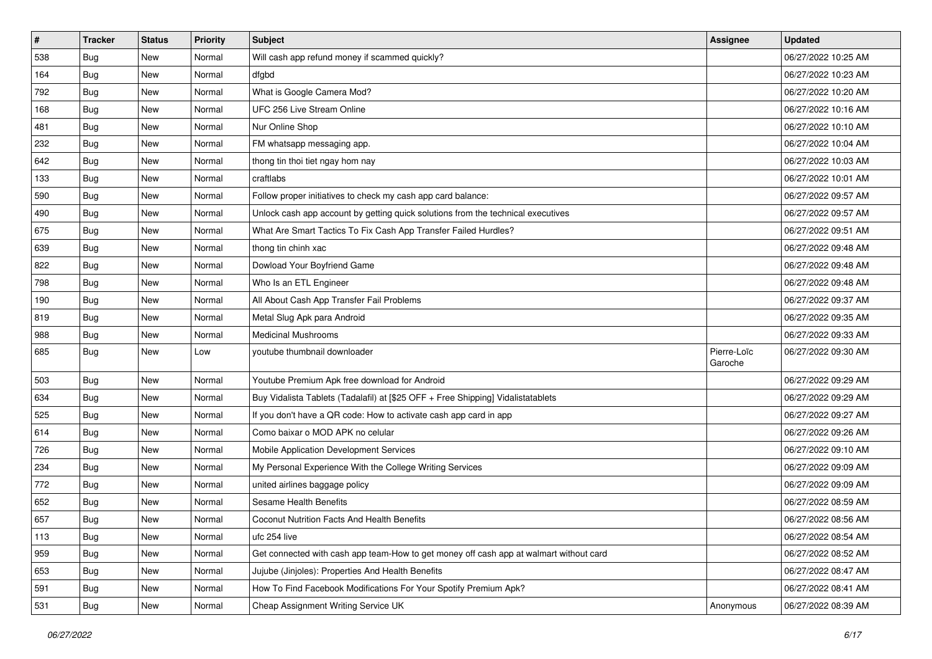| $\vert$ # | <b>Tracker</b> | <b>Status</b> | <b>Priority</b> | <b>Subject</b>                                                                         | Assignee               | <b>Updated</b>      |
|-----------|----------------|---------------|-----------------|----------------------------------------------------------------------------------------|------------------------|---------------------|
| 538       | <b>Bug</b>     | New           | Normal          | Will cash app refund money if scammed quickly?                                         |                        | 06/27/2022 10:25 AM |
| 164       | <b>Bug</b>     | <b>New</b>    | Normal          | dfgbd                                                                                  |                        | 06/27/2022 10:23 AM |
| 792       | <b>Bug</b>     | New           | Normal          | What is Google Camera Mod?                                                             |                        | 06/27/2022 10:20 AM |
| 168       | <b>Bug</b>     | New           | Normal          | UFC 256 Live Stream Online                                                             |                        | 06/27/2022 10:16 AM |
| 481       | <b>Bug</b>     | New           | Normal          | Nur Online Shop                                                                        |                        | 06/27/2022 10:10 AM |
| 232       | <b>Bug</b>     | New           | Normal          | FM whatsapp messaging app.                                                             |                        | 06/27/2022 10:04 AM |
| 642       | <b>Bug</b>     | New           | Normal          | thong tin thoi tiet ngay hom nay                                                       |                        | 06/27/2022 10:03 AM |
| 133       | <b>Bug</b>     | New           | Normal          | craftlabs                                                                              |                        | 06/27/2022 10:01 AM |
| 590       | <b>Bug</b>     | New           | Normal          | Follow proper initiatives to check my cash app card balance:                           |                        | 06/27/2022 09:57 AM |
| 490       | Bug            | <b>New</b>    | Normal          | Unlock cash app account by getting quick solutions from the technical executives       |                        | 06/27/2022 09:57 AM |
| 675       | <b>Bug</b>     | New           | Normal          | What Are Smart Tactics To Fix Cash App Transfer Failed Hurdles?                        |                        | 06/27/2022 09:51 AM |
| 639       | <b>Bug</b>     | New           | Normal          | thong tin chinh xac                                                                    |                        | 06/27/2022 09:48 AM |
| 822       | Bug            | New           | Normal          | Dowload Your Boyfriend Game                                                            |                        | 06/27/2022 09:48 AM |
| 798       | <b>Bug</b>     | New           | Normal          | Who Is an ETL Engineer                                                                 |                        | 06/27/2022 09:48 AM |
| 190       | Bug            | <b>New</b>    | Normal          | All About Cash App Transfer Fail Problems                                              |                        | 06/27/2022 09:37 AM |
| 819       | <b>Bug</b>     | New           | Normal          | Metal Slug Apk para Android                                                            |                        | 06/27/2022 09:35 AM |
| 988       | <b>Bug</b>     | New           | Normal          | <b>Medicinal Mushrooms</b>                                                             |                        | 06/27/2022 09:33 AM |
| 685       | Bug            | New           | Low             | youtube thumbnail downloader                                                           | Pierre-Loïc<br>Garoche | 06/27/2022 09:30 AM |
| 503       | <b>Bug</b>     | <b>New</b>    | Normal          | Youtube Premium Apk free download for Android                                          |                        | 06/27/2022 09:29 AM |
| 634       | Bug            | New           | Normal          | Buy Vidalista Tablets (Tadalafil) at [\$25 OFF + Free Shipping] Vidalistatablets       |                        | 06/27/2022 09:29 AM |
| 525       | <b>Bug</b>     | New           | Normal          | If you don't have a QR code: How to activate cash app card in app                      |                        | 06/27/2022 09:27 AM |
| 614       | <b>Bug</b>     | <b>New</b>    | Normal          | Como baixar o MOD APK no celular                                                       |                        | 06/27/2022 09:26 AM |
| 726       | <b>Bug</b>     | New           | Normal          | Mobile Application Development Services                                                |                        | 06/27/2022 09:10 AM |
| 234       | <b>Bug</b>     | New           | Normal          | My Personal Experience With the College Writing Services                               |                        | 06/27/2022 09:09 AM |
| 772       | <b>Bug</b>     | New           | Normal          | united airlines baggage policy                                                         |                        | 06/27/2022 09:09 AM |
| 652       | <b>Bug</b>     | New           | Normal          | Sesame Health Benefits                                                                 |                        | 06/27/2022 08:59 AM |
| 657       | <b>Bug</b>     | New           | Normal          | Coconut Nutrition Facts And Health Benefits                                            |                        | 06/27/2022 08:56 AM |
| 113       | Bug            | New           | Normal          | ufc 254 live                                                                           |                        | 06/27/2022 08:54 AM |
| 959       | <b>Bug</b>     | New           | Normal          | Get connected with cash app team-How to get money off cash app at walmart without card |                        | 06/27/2022 08:52 AM |
| 653       | Bug            | New           | Normal          | Jujube (Jinjoles): Properties And Health Benefits                                      |                        | 06/27/2022 08:47 AM |
| 591       | <b>Bug</b>     | New           | Normal          | How To Find Facebook Modifications For Your Spotify Premium Apk?                       |                        | 06/27/2022 08:41 AM |
| 531       | <b>Bug</b>     | New           | Normal          | Cheap Assignment Writing Service UK                                                    | Anonymous              | 06/27/2022 08:39 AM |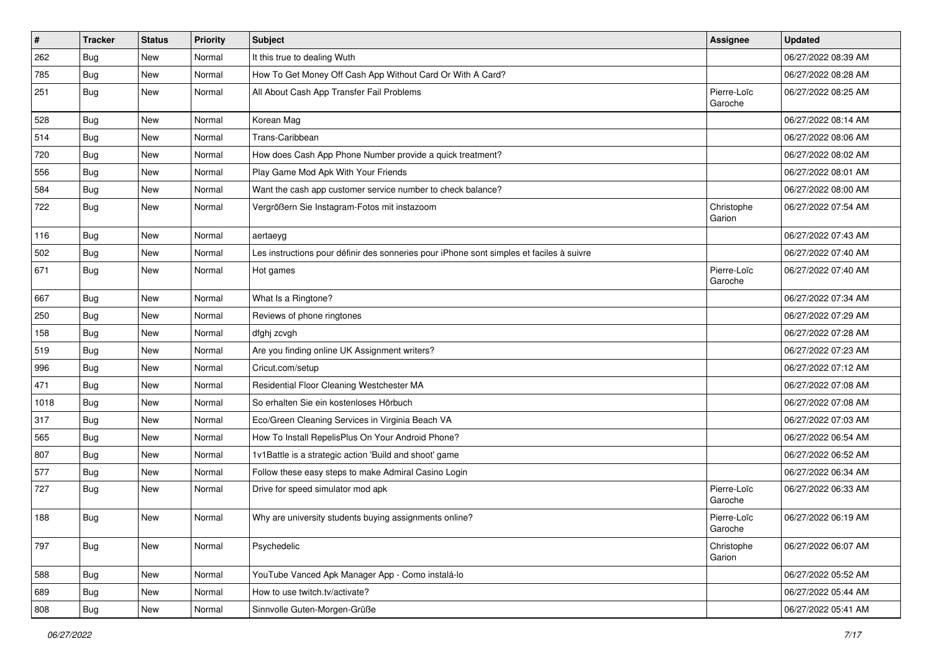| $\sharp$ | <b>Tracker</b> | <b>Status</b> | <b>Priority</b> | <b>Subject</b>                                                                           | <b>Assignee</b>        | <b>Updated</b>      |
|----------|----------------|---------------|-----------------|------------------------------------------------------------------------------------------|------------------------|---------------------|
| 262      | <b>Bug</b>     | New           | Normal          | It this true to dealing Wuth                                                             |                        | 06/27/2022 08:39 AM |
| 785      | <b>Bug</b>     | <b>New</b>    | Normal          | How To Get Money Off Cash App Without Card Or With A Card?                               |                        | 06/27/2022 08:28 AM |
| 251      | Bug            | <b>New</b>    | Normal          | All About Cash App Transfer Fail Problems                                                | Pierre-Loïc<br>Garoche | 06/27/2022 08:25 AM |
| 528      | Bug            | <b>New</b>    | Normal          | Korean Mag                                                                               |                        | 06/27/2022 08:14 AM |
| 514      | <b>Bug</b>     | <b>New</b>    | Normal          | Trans-Caribbean                                                                          |                        | 06/27/2022 08:06 AM |
| 720      | <b>Bug</b>     | New           | Normal          | How does Cash App Phone Number provide a quick treatment?                                |                        | 06/27/2022 08:02 AM |
| 556      | Bug            | New           | Normal          | Play Game Mod Apk With Your Friends                                                      |                        | 06/27/2022 08:01 AM |
| 584      | <b>Bug</b>     | <b>New</b>    | Normal          | Want the cash app customer service number to check balance?                              |                        | 06/27/2022 08:00 AM |
| 722      | <b>Bug</b>     | New           | Normal          | Vergrößern Sie Instagram-Fotos mit instazoom                                             | Christophe<br>Garion   | 06/27/2022 07:54 AM |
| 116      | <b>Bug</b>     | <b>New</b>    | Normal          | aertaeyg                                                                                 |                        | 06/27/2022 07:43 AM |
| 502      | Bug            | <b>New</b>    | Normal          | Les instructions pour définir des sonneries pour iPhone sont simples et faciles à suivre |                        | 06/27/2022 07:40 AM |
| 671      | <b>Bug</b>     | New           | Normal          | Hot games                                                                                | Pierre-Loïc<br>Garoche | 06/27/2022 07:40 AM |
| 667      | <b>Bug</b>     | <b>New</b>    | Normal          | What Is a Ringtone?                                                                      |                        | 06/27/2022 07:34 AM |
| 250      | <b>Bug</b>     | <b>New</b>    | Normal          | Reviews of phone ringtones                                                               |                        | 06/27/2022 07:29 AM |
| 158      | <b>Bug</b>     | New           | Normal          | dfghj zcvgh                                                                              |                        | 06/27/2022 07:28 AM |
| 519      | <b>Bug</b>     | New           | Normal          | Are you finding online UK Assignment writers?                                            |                        | 06/27/2022 07:23 AM |
| 996      | <b>Bug</b>     | New           | Normal          | Cricut.com/setup                                                                         |                        | 06/27/2022 07:12 AM |
| 471      | Bug            | <b>New</b>    | Normal          | Residential Floor Cleaning Westchester MA                                                |                        | 06/27/2022 07:08 AM |
| 1018     | <b>Bug</b>     | New           | Normal          | So erhalten Sie ein kostenloses Hörbuch                                                  |                        | 06/27/2022 07:08 AM |
| 317      | <b>Bug</b>     | New           | Normal          | Eco/Green Cleaning Services in Virginia Beach VA                                         |                        | 06/27/2022 07:03 AM |
| 565      | <b>Bug</b>     | New           | Normal          | How To Install RepelisPlus On Your Android Phone?                                        |                        | 06/27/2022 06:54 AM |
| 807      | <b>Bug</b>     | New           | Normal          | 1v1Battle is a strategic action 'Build and shoot' game                                   |                        | 06/27/2022 06:52 AM |
| 577      | <b>Bug</b>     | <b>New</b>    | Normal          | Follow these easy steps to make Admiral Casino Login                                     |                        | 06/27/2022 06:34 AM |
| 727      | <b>Bug</b>     | New           | Normal          | Drive for speed simulator mod apk                                                        | Pierre-Loïc<br>Garoche | 06/27/2022 06:33 AM |
| 188      | <b>Bug</b>     | <b>New</b>    | Normal          | Why are university students buying assignments online?                                   | Pierre-Loïc<br>Garoche | 06/27/2022 06:19 AM |
| 797      | <b>Bug</b>     | New           | Normal          | Psychedelic                                                                              | Christophe<br>Garion   | 06/27/2022 06:07 AM |
| 588      | <b>Bug</b>     | New           | Normal          | YouTube Vanced Apk Manager App - Como instalá-lo                                         |                        | 06/27/2022 05:52 AM |
| 689      | <b>Bug</b>     | New           | Normal          | How to use twitch.tv/activate?                                                           |                        | 06/27/2022 05:44 AM |
| 808      | <b>Bug</b>     | New           | Normal          | Sinnvolle Guten-Morgen-Grüße                                                             |                        | 06/27/2022 05:41 AM |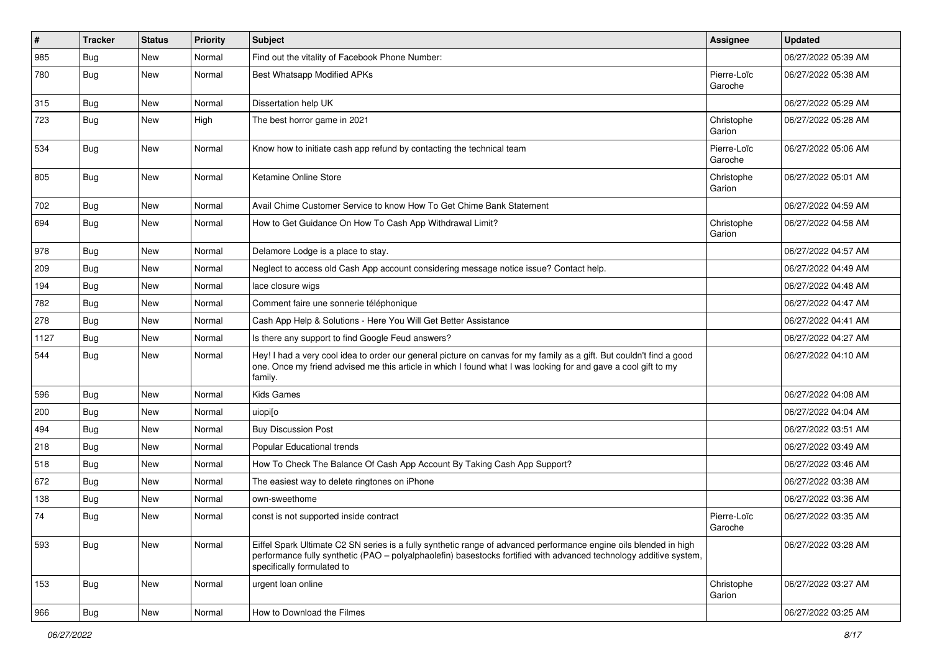| $\#$ | Tracker    | <b>Status</b> | <b>Priority</b> | <b>Subject</b>                                                                                                                                                                                                                                                        | <b>Assignee</b>        | <b>Updated</b>      |
|------|------------|---------------|-----------------|-----------------------------------------------------------------------------------------------------------------------------------------------------------------------------------------------------------------------------------------------------------------------|------------------------|---------------------|
| 985  | <b>Bug</b> | New           | Normal          | Find out the vitality of Facebook Phone Number:                                                                                                                                                                                                                       |                        | 06/27/2022 05:39 AM |
| 780  | <b>Bug</b> | New           | Normal          | Best Whatsapp Modified APKs                                                                                                                                                                                                                                           | Pierre-Loïc<br>Garoche | 06/27/2022 05:38 AM |
| 315  | <b>Bug</b> | New           | Normal          | Dissertation help UK                                                                                                                                                                                                                                                  |                        | 06/27/2022 05:29 AM |
| 723  | Bug        | <b>New</b>    | High            | The best horror game in 2021                                                                                                                                                                                                                                          | Christophe<br>Garion   | 06/27/2022 05:28 AM |
| 534  | <b>Bug</b> | New           | Normal          | Know how to initiate cash app refund by contacting the technical team                                                                                                                                                                                                 | Pierre-Loïc<br>Garoche | 06/27/2022 05:06 AM |
| 805  | <b>Bug</b> | <b>New</b>    | Normal          | Ketamine Online Store                                                                                                                                                                                                                                                 | Christophe<br>Garion   | 06/27/2022 05:01 AM |
| 702  | Bug        | New           | Normal          | Avail Chime Customer Service to know How To Get Chime Bank Statement                                                                                                                                                                                                  |                        | 06/27/2022 04:59 AM |
| 694  | Bug        | New           | Normal          | How to Get Guidance On How To Cash App Withdrawal Limit?                                                                                                                                                                                                              | Christophe<br>Garion   | 06/27/2022 04:58 AM |
| 978  | <b>Bug</b> | New           | Normal          | Delamore Lodge is a place to stay.                                                                                                                                                                                                                                    |                        | 06/27/2022 04:57 AM |
| 209  | Bug        | New           | Normal          | Neglect to access old Cash App account considering message notice issue? Contact help.                                                                                                                                                                                |                        | 06/27/2022 04:49 AM |
| 194  | Bug        | New           | Normal          | lace closure wigs                                                                                                                                                                                                                                                     |                        | 06/27/2022 04:48 AM |
| 782  | Bug        | New           | Normal          | Comment faire une sonnerie téléphonique                                                                                                                                                                                                                               |                        | 06/27/2022 04:47 AM |
| 278  | Bug        | New           | Normal          | Cash App Help & Solutions - Here You Will Get Better Assistance                                                                                                                                                                                                       |                        | 06/27/2022 04:41 AM |
| 1127 | Bug        | New           | Normal          | Is there any support to find Google Feud answers?                                                                                                                                                                                                                     |                        | 06/27/2022 04:27 AM |
| 544  | Bug        | New           | Normal          | Hey! I had a very cool idea to order our general picture on canvas for my family as a gift. But couldn't find a good<br>one. Once my friend advised me this article in which I found what I was looking for and gave a cool gift to my<br>family.                     |                        | 06/27/2022 04:10 AM |
| 596  | <b>Bug</b> | New           | Normal          | Kids Games                                                                                                                                                                                                                                                            |                        | 06/27/2022 04:08 AM |
| 200  | Bug        | New           | Normal          | uiopi[o                                                                                                                                                                                                                                                               |                        | 06/27/2022 04:04 AM |
| 494  | Bug        | New           | Normal          | <b>Buy Discussion Post</b>                                                                                                                                                                                                                                            |                        | 06/27/2022 03:51 AM |
| 218  | Bug        | <b>New</b>    | Normal          | <b>Popular Educational trends</b>                                                                                                                                                                                                                                     |                        | 06/27/2022 03:49 AM |
| 518  | Bug        | New           | Normal          | How To Check The Balance Of Cash App Account By Taking Cash App Support?                                                                                                                                                                                              |                        | 06/27/2022 03:46 AM |
| 672  | <b>Bug</b> | New           | Normal          | The easiest way to delete ringtones on iPhone                                                                                                                                                                                                                         |                        | 06/27/2022 03:38 AM |
| 138  | Bug        | <b>New</b>    | Normal          | own-sweethome                                                                                                                                                                                                                                                         |                        | 06/27/2022 03:36 AM |
| 74   | <b>Bug</b> | New           | Normal          | const is not supported inside contract                                                                                                                                                                                                                                | Pierre-Loïc<br>Garoche | 06/27/2022 03:35 AM |
| 593  | <b>Bug</b> | New           | Normal          | Eiffel Spark Ultimate C2 SN series is a fully synthetic range of advanced performance engine oils blended in high<br>performance fully synthetic (PAO – polyalphaolefin) basestocks fortified with advanced technology additive system,<br>specifically formulated to |                        | 06/27/2022 03:28 AM |
| 153  | Bug        | New           | Normal          | urgent loan online                                                                                                                                                                                                                                                    | Christophe<br>Garion   | 06/27/2022 03:27 AM |
| 966  | Bug        | New           | Normal          | How to Download the Filmes                                                                                                                                                                                                                                            |                        | 06/27/2022 03:25 AM |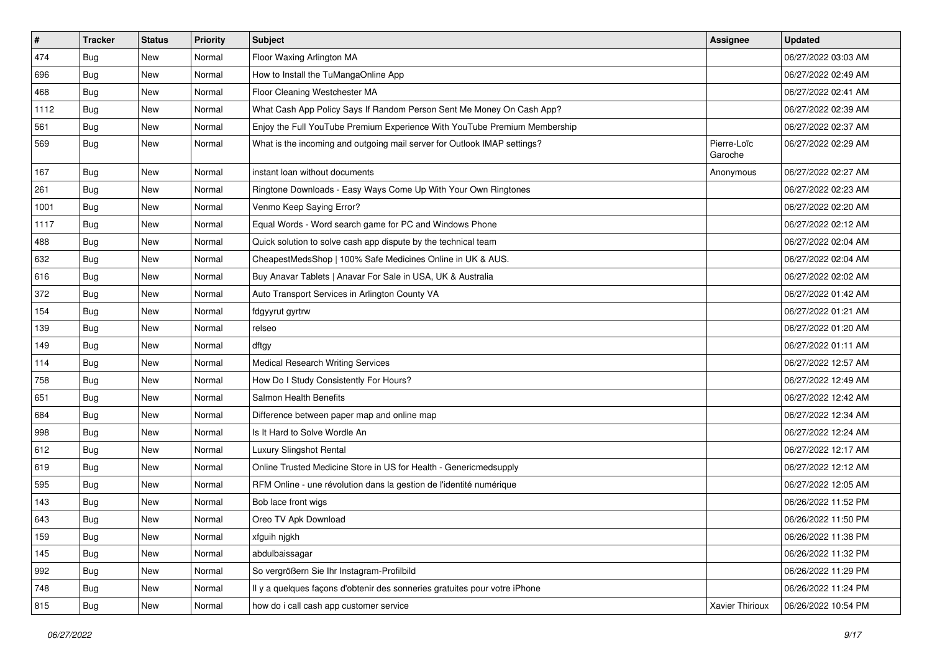| $\vert$ # | <b>Tracker</b> | <b>Status</b> | Priority | <b>Subject</b>                                                             | <b>Assignee</b>        | <b>Updated</b>      |
|-----------|----------------|---------------|----------|----------------------------------------------------------------------------|------------------------|---------------------|
| 474       | <b>Bug</b>     | New           | Normal   | Floor Waxing Arlington MA                                                  |                        | 06/27/2022 03:03 AM |
| 696       | <b>Bug</b>     | New           | Normal   | How to Install the TuMangaOnline App                                       |                        | 06/27/2022 02:49 AM |
| 468       | Bug            | New           | Normal   | Floor Cleaning Westchester MA                                              |                        | 06/27/2022 02:41 AM |
| 1112      | <b>Bug</b>     | New           | Normal   | What Cash App Policy Says If Random Person Sent Me Money On Cash App?      |                        | 06/27/2022 02:39 AM |
| 561       | Bug            | New           | Normal   | Enjoy the Full YouTube Premium Experience With YouTube Premium Membership  |                        | 06/27/2022 02:37 AM |
| 569       | Bug            | New           | Normal   | What is the incoming and outgoing mail server for Outlook IMAP settings?   | Pierre-Loïc<br>Garoche | 06/27/2022 02:29 AM |
| 167       | Bug            | <b>New</b>    | Normal   | instant loan without documents                                             | Anonymous              | 06/27/2022 02:27 AM |
| 261       | Bug            | New           | Normal   | Ringtone Downloads - Easy Ways Come Up With Your Own Ringtones             |                        | 06/27/2022 02:23 AM |
| 1001      | <b>Bug</b>     | New           | Normal   | Venmo Keep Saying Error?                                                   |                        | 06/27/2022 02:20 AM |
| 1117      | Bug            | New           | Normal   | Equal Words - Word search game for PC and Windows Phone                    |                        | 06/27/2022 02:12 AM |
| 488       | <b>Bug</b>     | New           | Normal   | Quick solution to solve cash app dispute by the technical team             |                        | 06/27/2022 02:04 AM |
| 632       | Bug            | New           | Normal   | CheapestMedsShop   100% Safe Medicines Online in UK & AUS.                 |                        | 06/27/2022 02:04 AM |
| 616       | Bug            | New           | Normal   | Buy Anavar Tablets   Anavar For Sale in USA, UK & Australia                |                        | 06/27/2022 02:02 AM |
| 372       | Bug            | <b>New</b>    | Normal   | Auto Transport Services in Arlington County VA                             |                        | 06/27/2022 01:42 AM |
| 154       | <b>Bug</b>     | New           | Normal   | fdgyyrut gyrtrw                                                            |                        | 06/27/2022 01:21 AM |
| 139       | <b>Bug</b>     | New           | Normal   | relseo                                                                     |                        | 06/27/2022 01:20 AM |
| 149       | Bug            | New           | Normal   | dftgy                                                                      |                        | 06/27/2022 01:11 AM |
| 114       | <b>Bug</b>     | New           | Normal   | <b>Medical Research Writing Services</b>                                   |                        | 06/27/2022 12:57 AM |
| 758       | Bug            | New           | Normal   | How Do I Study Consistently For Hours?                                     |                        | 06/27/2022 12:49 AM |
| 651       | Bug            | New           | Normal   | <b>Salmon Health Benefits</b>                                              |                        | 06/27/2022 12:42 AM |
| 684       | <b>Bug</b>     | New           | Normal   | Difference between paper map and online map                                |                        | 06/27/2022 12:34 AM |
| 998       | Bug            | New           | Normal   | Is It Hard to Solve Wordle An                                              |                        | 06/27/2022 12:24 AM |
| 612       | Bug            | New           | Normal   | Luxury Slingshot Rental                                                    |                        | 06/27/2022 12:17 AM |
| 619       | <b>Bug</b>     | New           | Normal   | Online Trusted Medicine Store in US for Health - Genericmedsupply          |                        | 06/27/2022 12:12 AM |
| 595       | Bug            | New           | Normal   | RFM Online - une révolution dans la gestion de l'identité numérique        |                        | 06/27/2022 12:05 AM |
| 143       | <b>Bug</b>     | New           | Normal   | Bob lace front wigs                                                        |                        | 06/26/2022 11:52 PM |
| 643       | <b>Bug</b>     | New           | Normal   | Oreo TV Apk Download                                                       |                        | 06/26/2022 11:50 PM |
| 159       | Bug            | New           | Normal   | xfguih njgkh                                                               |                        | 06/26/2022 11:38 PM |
| 145       | Bug            | New           | Normal   | abdulbaissagar                                                             |                        | 06/26/2022 11:32 PM |
| 992       | <b>Bug</b>     | New           | Normal   | So vergrößern Sie Ihr Instagram-Profilbild                                 |                        | 06/26/2022 11:29 PM |
| 748       | <b>Bug</b>     | New           | Normal   | Il y a quelques façons d'obtenir des sonneries gratuites pour votre iPhone |                        | 06/26/2022 11:24 PM |
| 815       | <b>Bug</b>     | New           | Normal   | how do i call cash app customer service                                    | Xavier Thirioux        | 06/26/2022 10:54 PM |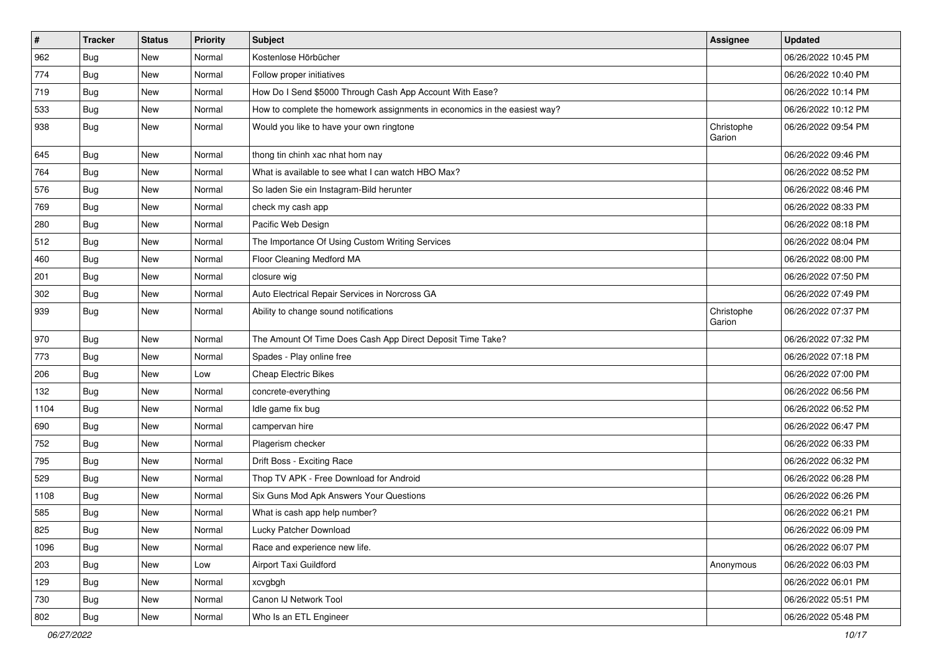| $\vert$ # | <b>Tracker</b> | <b>Status</b> | <b>Priority</b> | <b>Subject</b>                                                            | Assignee             | <b>Updated</b>      |
|-----------|----------------|---------------|-----------------|---------------------------------------------------------------------------|----------------------|---------------------|
| 962       | Bug            | New           | Normal          | Kostenlose Hörbücher                                                      |                      | 06/26/2022 10:45 PM |
| 774       | <b>Bug</b>     | <b>New</b>    | Normal          | Follow proper initiatives                                                 |                      | 06/26/2022 10:40 PM |
| 719       | Bug            | New           | Normal          | How Do I Send \$5000 Through Cash App Account With Ease?                  |                      | 06/26/2022 10:14 PM |
| 533       | <b>Bug</b>     | New           | Normal          | How to complete the homework assignments in economics in the easiest way? |                      | 06/26/2022 10:12 PM |
| 938       | Bug            | <b>New</b>    | Normal          | Would you like to have your own ringtone                                  | Christophe<br>Garion | 06/26/2022 09:54 PM |
| 645       | <b>Bug</b>     | New           | Normal          | thong tin chinh xac nhat hom nay                                          |                      | 06/26/2022 09:46 PM |
| 764       | <b>Bug</b>     | New           | Normal          | What is available to see what I can watch HBO Max?                        |                      | 06/26/2022 08:52 PM |
| 576       | <b>Bug</b>     | New           | Normal          | So laden Sie ein Instagram-Bild herunter                                  |                      | 06/26/2022 08:46 PM |
| 769       | <b>Bug</b>     | <b>New</b>    | Normal          | check my cash app                                                         |                      | 06/26/2022 08:33 PM |
| 280       | Bug            | New           | Normal          | Pacific Web Design                                                        |                      | 06/26/2022 08:18 PM |
| 512       | <b>Bug</b>     | New           | Normal          | The Importance Of Using Custom Writing Services                           |                      | 06/26/2022 08:04 PM |
| 460       | <b>Bug</b>     | <b>New</b>    | Normal          | Floor Cleaning Medford MA                                                 |                      | 06/26/2022 08:00 PM |
| 201       | <b>Bug</b>     | New           | Normal          | closure wig                                                               |                      | 06/26/2022 07:50 PM |
| 302       | Bug            | <b>New</b>    | Normal          | Auto Electrical Repair Services in Norcross GA                            |                      | 06/26/2022 07:49 PM |
| 939       | Bug            | New           | Normal          | Ability to change sound notifications                                     | Christophe<br>Garion | 06/26/2022 07:37 PM |
| 970       | <b>Bug</b>     | <b>New</b>    | Normal          | The Amount Of Time Does Cash App Direct Deposit Time Take?                |                      | 06/26/2022 07:32 PM |
| 773       | <b>Bug</b>     | New           | Normal          | Spades - Play online free                                                 |                      | 06/26/2022 07:18 PM |
| 206       | <b>Bug</b>     | New           | Low             | <b>Cheap Electric Bikes</b>                                               |                      | 06/26/2022 07:00 PM |
| 132       | <b>Bug</b>     | <b>New</b>    | Normal          | concrete-everything                                                       |                      | 06/26/2022 06:56 PM |
| 1104      | Bug            | <b>New</b>    | Normal          | Idle game fix bug                                                         |                      | 06/26/2022 06:52 PM |
| 690       | <b>Bug</b>     | New           | Normal          | campervan hire                                                            |                      | 06/26/2022 06:47 PM |
| 752       | <b>Bug</b>     | New           | Normal          | Plagerism checker                                                         |                      | 06/26/2022 06:33 PM |
| 795       | <b>Bug</b>     | New           | Normal          | Drift Boss - Exciting Race                                                |                      | 06/26/2022 06:32 PM |
| 529       | Bug            | <b>New</b>    | Normal          | Thop TV APK - Free Download for Android                                   |                      | 06/26/2022 06:28 PM |
| 1108      | <b>Bug</b>     | New           | Normal          | Six Guns Mod Apk Answers Your Questions                                   |                      | 06/26/2022 06:26 PM |
| 585       | <b>Bug</b>     | New           | Normal          | What is cash app help number?                                             |                      | 06/26/2022 06:21 PM |
| 825       | Bug            | New           | Normal          | Lucky Patcher Download                                                    |                      | 06/26/2022 06:09 PM |
| 1096      | Bug            | New           | Normal          | Race and experience new life.                                             |                      | 06/26/2022 06:07 PM |
| 203       | Bug            | <b>New</b>    | Low             | Airport Taxi Guildford                                                    | Anonymous            | 06/26/2022 06:03 PM |
| 129       | <b>Bug</b>     | New           | Normal          | xcvgbgh                                                                   |                      | 06/26/2022 06:01 PM |
| 730       | Bug            | New           | Normal          | Canon IJ Network Tool                                                     |                      | 06/26/2022 05:51 PM |
| 802       | Bug            | New           | Normal          | Who Is an ETL Engineer                                                    |                      | 06/26/2022 05:48 PM |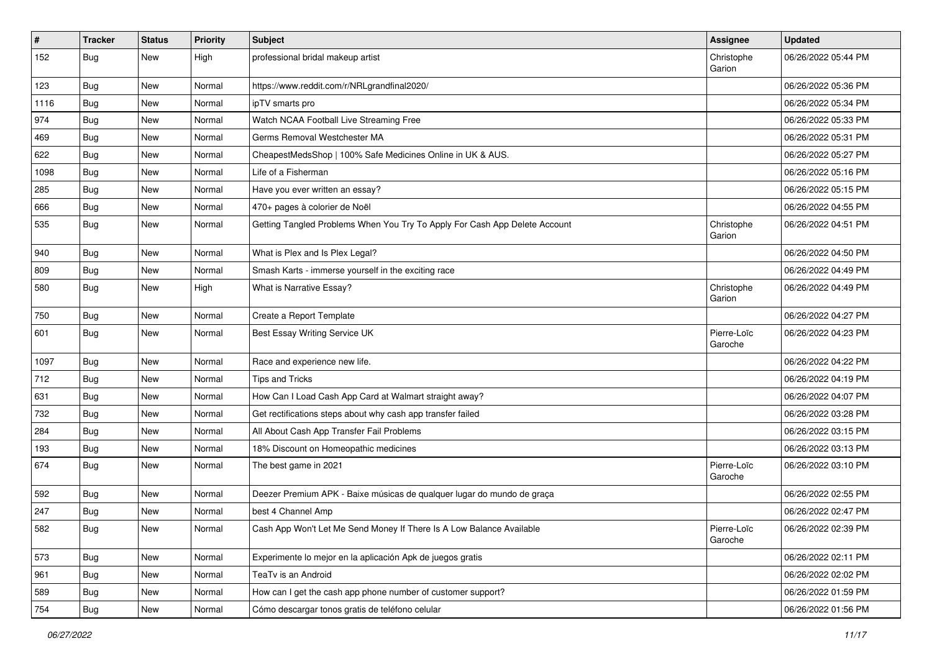| $\vert$ # | <b>Tracker</b> | <b>Status</b> | <b>Priority</b> | <b>Subject</b>                                                             | Assignee               | <b>Updated</b>      |
|-----------|----------------|---------------|-----------------|----------------------------------------------------------------------------|------------------------|---------------------|
| 152       | <b>Bug</b>     | New           | High            | professional bridal makeup artist                                          | Christophe<br>Garion   | 06/26/2022 05:44 PM |
| 123       | <b>Bug</b>     | New           | Normal          | https://www.reddit.com/r/NRLgrandfinal2020/                                |                        | 06/26/2022 05:36 PM |
| 1116      | <b>Bug</b>     | New           | Normal          | ipTV smarts pro                                                            |                        | 06/26/2022 05:34 PM |
| 974       | Bug            | <b>New</b>    | Normal          | Watch NCAA Football Live Streaming Free                                    |                        | 06/26/2022 05:33 PM |
| 469       | <b>Bug</b>     | New           | Normal          | Germs Removal Westchester MA                                               |                        | 06/26/2022 05:31 PM |
| 622       | <b>Bug</b>     | New           | Normal          | CheapestMedsShop   100% Safe Medicines Online in UK & AUS.                 |                        | 06/26/2022 05:27 PM |
| 1098      | Bug            | New           | Normal          | Life of a Fisherman                                                        |                        | 06/26/2022 05:16 PM |
| 285       | <b>Bug</b>     | New           | Normal          | Have you ever written an essay?                                            |                        | 06/26/2022 05:15 PM |
| 666       | Bug            | <b>New</b>    | Normal          | 470+ pages à colorier de Noël                                              |                        | 06/26/2022 04:55 PM |
| 535       | Bug            | New           | Normal          | Getting Tangled Problems When You Try To Apply For Cash App Delete Account | Christophe<br>Garion   | 06/26/2022 04:51 PM |
| 940       | <b>Bug</b>     | New           | Normal          | What is Plex and Is Plex Legal?                                            |                        | 06/26/2022 04:50 PM |
| 809       | <b>Bug</b>     | New           | Normal          | Smash Karts - immerse yourself in the exciting race                        |                        | 06/26/2022 04:49 PM |
| 580       | Bug            | New           | High            | What is Narrative Essay?                                                   | Christophe<br>Garion   | 06/26/2022 04:49 PM |
| 750       | <b>Bug</b>     | New           | Normal          | Create a Report Template                                                   |                        | 06/26/2022 04:27 PM |
| 601       | Bug            | <b>New</b>    | Normal          | <b>Best Essay Writing Service UK</b>                                       | Pierre-Loïc<br>Garoche | 06/26/2022 04:23 PM |
| 1097      | <b>Bug</b>     | New           | Normal          | Race and experience new life.                                              |                        | 06/26/2022 04:22 PM |
| 712       | <b>Bug</b>     | New           | Normal          | <b>Tips and Tricks</b>                                                     |                        | 06/26/2022 04:19 PM |
| 631       | Bug            | New           | Normal          | How Can I Load Cash App Card at Walmart straight away?                     |                        | 06/26/2022 04:07 PM |
| 732       | Bug            | New           | Normal          | Get rectifications steps about why cash app transfer failed                |                        | 06/26/2022 03:28 PM |
| 284       | <b>Bug</b>     | New           | Normal          | All About Cash App Transfer Fail Problems                                  |                        | 06/26/2022 03:15 PM |
| 193       | <b>Bug</b>     | New           | Normal          | 18% Discount on Homeopathic medicines                                      |                        | 06/26/2022 03:13 PM |
| 674       | Bug            | <b>New</b>    | Normal          | The best game in 2021                                                      | Pierre-Loïc<br>Garoche | 06/26/2022 03:10 PM |
| 592       | <b>Bug</b>     | <b>New</b>    | Normal          | Deezer Premium APK - Baixe músicas de qualquer lugar do mundo de graça     |                        | 06/26/2022 02:55 PM |
| 247       | <b>Bug</b>     | New           | Normal          | best 4 Channel Amp                                                         |                        | 06/26/2022 02:47 PM |
| 582       | <b>Bug</b>     | New           | Normal          | Cash App Won't Let Me Send Money If There Is A Low Balance Available       | Pierre-Loïc<br>Garoche | 06/26/2022 02:39 PM |
| 573       | <b>Bug</b>     | New           | Normal          | Experimente lo mejor en la aplicación Apk de juegos gratis                 |                        | 06/26/2022 02:11 PM |
| 961       | <b>Bug</b>     | New           | Normal          | TeaTv is an Android                                                        |                        | 06/26/2022 02:02 PM |
| 589       | Bug            | New           | Normal          | How can I get the cash app phone number of customer support?               |                        | 06/26/2022 01:59 PM |
| 754       | Bug            | New           | Normal          | Cómo descargar tonos gratis de teléfono celular                            |                        | 06/26/2022 01:56 PM |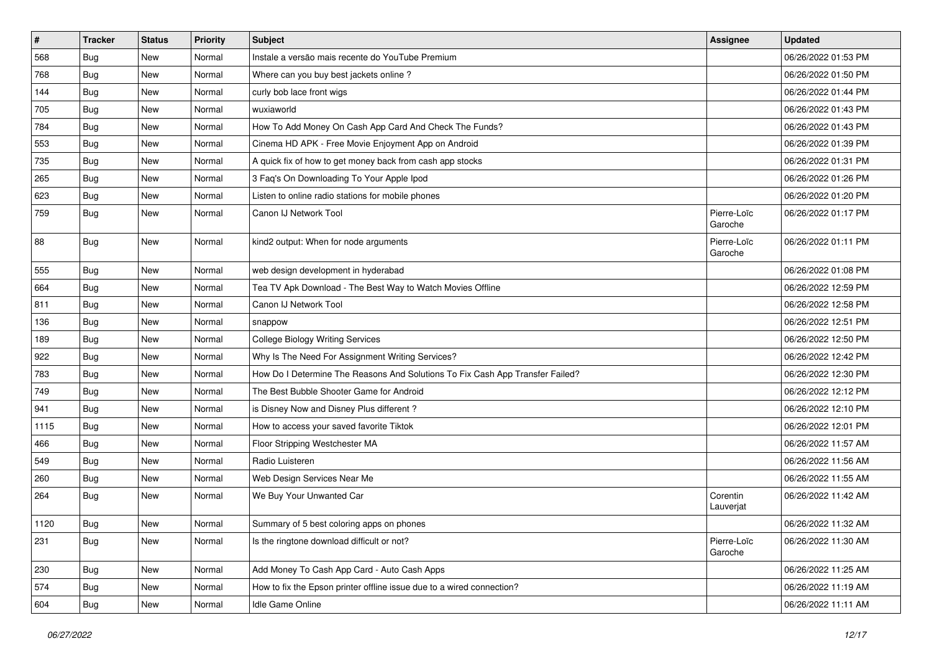| $\vert$ # | <b>Tracker</b> | <b>Status</b> | <b>Priority</b> | <b>Subject</b>                                                                | Assignee               | <b>Updated</b>      |
|-----------|----------------|---------------|-----------------|-------------------------------------------------------------------------------|------------------------|---------------------|
| 568       | <b>Bug</b>     | New           | Normal          | Instale a versão mais recente do YouTube Premium                              |                        | 06/26/2022 01:53 PM |
| 768       | <b>Bug</b>     | <b>New</b>    | Normal          | Where can you buy best jackets online?                                        |                        | 06/26/2022 01:50 PM |
| 144       | <b>Bug</b>     | New           | Normal          | curly bob lace front wigs                                                     |                        | 06/26/2022 01:44 PM |
| 705       | <b>Bug</b>     | New           | Normal          | wuxiaworld                                                                    |                        | 06/26/2022 01:43 PM |
| 784       | <b>Bug</b>     | <b>New</b>    | Normal          | How To Add Money On Cash App Card And Check The Funds?                        |                        | 06/26/2022 01:43 PM |
| 553       | <b>Bug</b>     | New           | Normal          | Cinema HD APK - Free Movie Enjoyment App on Android                           |                        | 06/26/2022 01:39 PM |
| 735       | Bug            | New           | Normal          | A quick fix of how to get money back from cash app stocks                     |                        | 06/26/2022 01:31 PM |
| 265       | Bug            | New           | Normal          | 3 Faq's On Downloading To Your Apple Ipod                                     |                        | 06/26/2022 01:26 PM |
| 623       | <b>Bug</b>     | New           | Normal          | Listen to online radio stations for mobile phones                             |                        | 06/26/2022 01:20 PM |
| 759       | Bug            | <b>New</b>    | Normal          | Canon IJ Network Tool                                                         | Pierre-Loïc<br>Garoche | 06/26/2022 01:17 PM |
| 88        | <b>Bug</b>     | New           | Normal          | kind2 output: When for node arguments                                         | Pierre-Loïc<br>Garoche | 06/26/2022 01:11 PM |
| 555       | <b>Bug</b>     | <b>New</b>    | Normal          | web design development in hyderabad                                           |                        | 06/26/2022 01:08 PM |
| 664       | <b>Bug</b>     | New           | Normal          | Tea TV Apk Download - The Best Way to Watch Movies Offline                    |                        | 06/26/2022 12:59 PM |
| 811       | Bug            | New           | Normal          | Canon IJ Network Tool                                                         |                        | 06/26/2022 12:58 PM |
| 136       | <b>Bug</b>     | New           | Normal          | snappow                                                                       |                        | 06/26/2022 12:51 PM |
| 189       | Bug            | <b>New</b>    | Normal          | <b>College Biology Writing Services</b>                                       |                        | 06/26/2022 12:50 PM |
| 922       | <b>Bug</b>     | New           | Normal          | Why Is The Need For Assignment Writing Services?                              |                        | 06/26/2022 12:42 PM |
| 783       | Bug            | <b>New</b>    | Normal          | How Do I Determine The Reasons And Solutions To Fix Cash App Transfer Failed? |                        | 06/26/2022 12:30 PM |
| 749       | <b>Bug</b>     | New           | Normal          | The Best Bubble Shooter Game for Android                                      |                        | 06/26/2022 12:12 PM |
| 941       | <b>Bug</b>     | New           | Normal          | is Disney Now and Disney Plus different?                                      |                        | 06/26/2022 12:10 PM |
| 1115      | Bug            | <b>New</b>    | Normal          | How to access your saved favorite Tiktok                                      |                        | 06/26/2022 12:01 PM |
| 466       | <b>Bug</b>     | New           | Normal          | Floor Stripping Westchester MA                                                |                        | 06/26/2022 11:57 AM |
| 549       | <b>Bug</b>     | New           | Normal          | Radio Luisteren                                                               |                        | 06/26/2022 11:56 AM |
| 260       | <b>Bug</b>     | <b>New</b>    | Normal          | Web Design Services Near Me                                                   |                        | 06/26/2022 11:55 AM |
| 264       | <b>Bug</b>     | New           | Normal          | We Buy Your Unwanted Car                                                      | Corentin<br>Lauverjat  | 06/26/2022 11:42 AM |
| 1120      | Bug            | New           | Normal          | Summary of 5 best coloring apps on phones                                     |                        | 06/26/2022 11:32 AM |
| 231       | <b>Bug</b>     | New           | Normal          | Is the ringtone download difficult or not?                                    | Pierre-Loïc<br>Garoche | 06/26/2022 11:30 AM |
| 230       | Bug            | New           | Normal          | Add Money To Cash App Card - Auto Cash Apps                                   |                        | 06/26/2022 11:25 AM |
| 574       | <b>Bug</b>     | New           | Normal          | How to fix the Epson printer offline issue due to a wired connection?         |                        | 06/26/2022 11:19 AM |
| 604       | <b>Bug</b>     | New           | Normal          | Idle Game Online                                                              |                        | 06/26/2022 11:11 AM |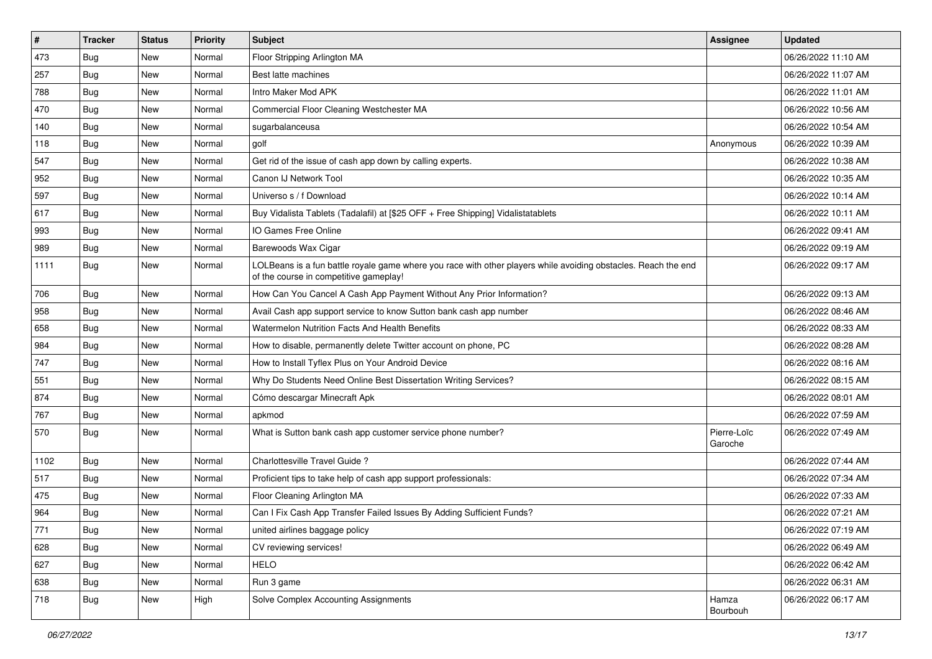| $\vert$ # | <b>Tracker</b> | <b>Status</b> | Priority | Subject                                                                                                                                                  | <b>Assignee</b>        | <b>Updated</b>      |
|-----------|----------------|---------------|----------|----------------------------------------------------------------------------------------------------------------------------------------------------------|------------------------|---------------------|
| 473       | <b>Bug</b>     | New           | Normal   | Floor Stripping Arlington MA                                                                                                                             |                        | 06/26/2022 11:10 AM |
| 257       | <b>Bug</b>     | New           | Normal   | Best latte machines                                                                                                                                      |                        | 06/26/2022 11:07 AM |
| 788       | <b>Bug</b>     | New           | Normal   | Intro Maker Mod APK                                                                                                                                      |                        | 06/26/2022 11:01 AM |
| 470       | <b>Bug</b>     | New           | Normal   | Commercial Floor Cleaning Westchester MA                                                                                                                 |                        | 06/26/2022 10:56 AM |
| 140       | <b>Bug</b>     | <b>New</b>    | Normal   | sugarbalanceusa                                                                                                                                          |                        | 06/26/2022 10:54 AM |
| 118       | <b>Bug</b>     | New           | Normal   | golf                                                                                                                                                     | Anonymous              | 06/26/2022 10:39 AM |
| 547       | Bug            | New           | Normal   | Get rid of the issue of cash app down by calling experts.                                                                                                |                        | 06/26/2022 10:38 AM |
| 952       | Bug            | New           | Normal   | Canon IJ Network Tool                                                                                                                                    |                        | 06/26/2022 10:35 AM |
| 597       | <b>Bug</b>     | New           | Normal   | Universo s / f Download                                                                                                                                  |                        | 06/26/2022 10:14 AM |
| 617       | Bug            | <b>New</b>    | Normal   | Buy Vidalista Tablets (Tadalafil) at [\$25 OFF + Free Shipping] Vidalistatablets                                                                         |                        | 06/26/2022 10:11 AM |
| 993       | <b>Bug</b>     | New           | Normal   | IO Games Free Online                                                                                                                                     |                        | 06/26/2022 09:41 AM |
| 989       | Bug            | New           | Normal   | Barewoods Wax Cigar                                                                                                                                      |                        | 06/26/2022 09:19 AM |
| 1111      | Bug            | <b>New</b>    | Normal   | LOLBeans is a fun battle royale game where you race with other players while avoiding obstacles. Reach the end<br>of the course in competitive gameplay! |                        | 06/26/2022 09:17 AM |
| 706       | <b>Bug</b>     | <b>New</b>    | Normal   | How Can You Cancel A Cash App Payment Without Any Prior Information?                                                                                     |                        | 06/26/2022 09:13 AM |
| 958       | <b>Bug</b>     | New           | Normal   | Avail Cash app support service to know Sutton bank cash app number                                                                                       |                        | 06/26/2022 08:46 AM |
| 658       | <b>Bug</b>     | New           | Normal   | <b>Watermelon Nutrition Facts And Health Benefits</b>                                                                                                    |                        | 06/26/2022 08:33 AM |
| 984       | Bug            | <b>New</b>    | Normal   | How to disable, permanently delete Twitter account on phone, PC                                                                                          |                        | 06/26/2022 08:28 AM |
| 747       | <b>Bug</b>     | New           | Normal   | How to Install Tyflex Plus on Your Android Device                                                                                                        |                        | 06/26/2022 08:16 AM |
| 551       | <b>Bug</b>     | New           | Normal   | Why Do Students Need Online Best Dissertation Writing Services?                                                                                          |                        | 06/26/2022 08:15 AM |
| 874       | Bug            | New           | Normal   | Cómo descargar Minecraft Apk                                                                                                                             |                        | 06/26/2022 08:01 AM |
| 767       | <b>Bug</b>     | <b>New</b>    | Normal   | apkmod                                                                                                                                                   |                        | 06/26/2022 07:59 AM |
| 570       | <b>Bug</b>     | New           | Normal   | What is Sutton bank cash app customer service phone number?                                                                                              | Pierre-Loïc<br>Garoche | 06/26/2022 07:49 AM |
| 1102      | <b>Bug</b>     | New           | Normal   | Charlottesville Travel Guide?                                                                                                                            |                        | 06/26/2022 07:44 AM |
| 517       | Bug            | <b>New</b>    | Normal   | Proficient tips to take help of cash app support professionals:                                                                                          |                        | 06/26/2022 07:34 AM |
| 475       | <b>Bug</b>     | New           | Normal   | Floor Cleaning Arlington MA                                                                                                                              |                        | 06/26/2022 07:33 AM |
| 964       | <b>Bug</b>     | New           | Normal   | Can I Fix Cash App Transfer Failed Issues By Adding Sufficient Funds?                                                                                    |                        | 06/26/2022 07:21 AM |
| 771       | Bug            | New           | Normal   | united airlines baggage policy                                                                                                                           |                        | 06/26/2022 07:19 AM |
| 628       | Bug            | New           | Normal   | CV reviewing services!                                                                                                                                   |                        | 06/26/2022 06:49 AM |
| 627       | Bug            | <b>New</b>    | Normal   | <b>HELO</b>                                                                                                                                              |                        | 06/26/2022 06:42 AM |
| 638       | Bug            | New           | Normal   | Run 3 game                                                                                                                                               |                        | 06/26/2022 06:31 AM |
| 718       | Bug            | New           | High     | Solve Complex Accounting Assignments                                                                                                                     | Hamza<br>Bourbouh      | 06/26/2022 06:17 AM |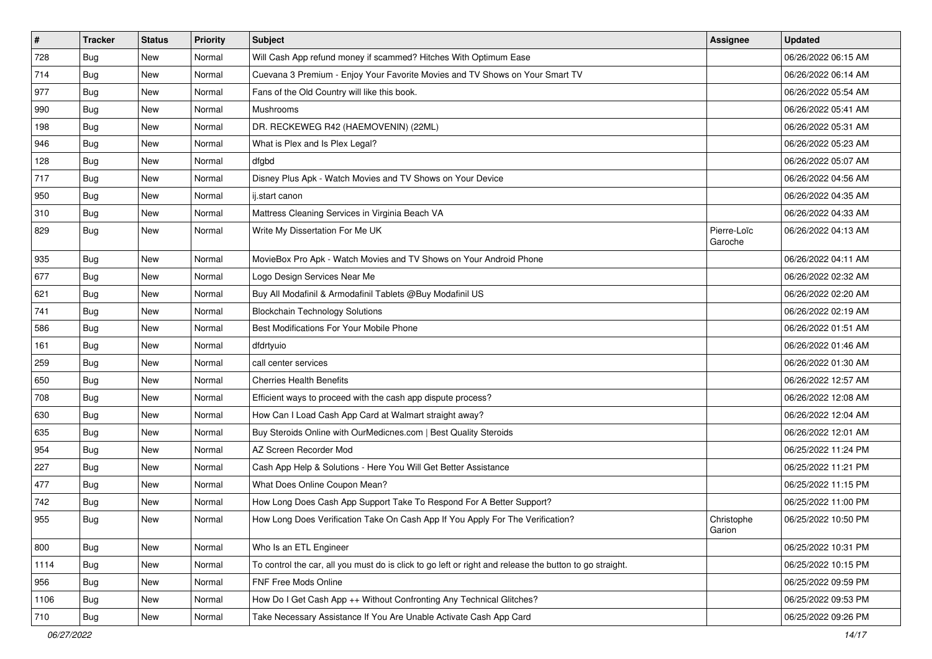| $\vert$ # | <b>Tracker</b> | <b>Status</b> | Priority | <b>Subject</b>                                                                                          | <b>Assignee</b>        | <b>Updated</b>      |
|-----------|----------------|---------------|----------|---------------------------------------------------------------------------------------------------------|------------------------|---------------------|
| 728       | <b>Bug</b>     | New           | Normal   | Will Cash App refund money if scammed? Hitches With Optimum Ease                                        |                        | 06/26/2022 06:15 AM |
| 714       | Bug            | New           | Normal   | Cuevana 3 Premium - Enjoy Your Favorite Movies and TV Shows on Your Smart TV                            |                        | 06/26/2022 06:14 AM |
| 977       | Bug            | New           | Normal   | Fans of the Old Country will like this book.                                                            |                        | 06/26/2022 05:54 AM |
| 990       | <b>Bug</b>     | New           | Normal   | Mushrooms                                                                                               |                        | 06/26/2022 05:41 AM |
| 198       | Bug            | New           | Normal   | DR. RECKEWEG R42 (HAEMOVENIN) (22ML)                                                                    |                        | 06/26/2022 05:31 AM |
| 946       | Bug            | New           | Normal   | What is Plex and Is Plex Legal?                                                                         |                        | 06/26/2022 05:23 AM |
| 128       | <b>Bug</b>     | New           | Normal   | dfgbd                                                                                                   |                        | 06/26/2022 05:07 AM |
| 717       | <b>Bug</b>     | New           | Normal   | Disney Plus Apk - Watch Movies and TV Shows on Your Device                                              |                        | 06/26/2022 04:56 AM |
| 950       | Bug            | New           | Normal   | ij.start canon                                                                                          |                        | 06/26/2022 04:35 AM |
| 310       | Bug            | New           | Normal   | Mattress Cleaning Services in Virginia Beach VA                                                         |                        | 06/26/2022 04:33 AM |
| 829       | Bug            | New           | Normal   | Write My Dissertation For Me UK                                                                         | Pierre-Loïc<br>Garoche | 06/26/2022 04:13 AM |
| 935       | Bug            | <b>New</b>    | Normal   | MovieBox Pro Apk - Watch Movies and TV Shows on Your Android Phone                                      |                        | 06/26/2022 04:11 AM |
| 677       | <b>Bug</b>     | New           | Normal   | Logo Design Services Near Me                                                                            |                        | 06/26/2022 02:32 AM |
| 621       | Bug            | New           | Normal   | Buy All Modafinil & Armodafinil Tablets @Buy Modafinil US                                               |                        | 06/26/2022 02:20 AM |
| 741       | <b>Bug</b>     | New           | Normal   | <b>Blockchain Technology Solutions</b>                                                                  |                        | 06/26/2022 02:19 AM |
| 586       | <b>Bug</b>     | New           | Normal   | Best Modifications For Your Mobile Phone                                                                |                        | 06/26/2022 01:51 AM |
| 161       | Bug            | New           | Normal   | dfdrtyuio                                                                                               |                        | 06/26/2022 01:46 AM |
| 259       | <b>Bug</b>     | New           | Normal   | call center services                                                                                    |                        | 06/26/2022 01:30 AM |
| 650       | Bug            | New           | Normal   | <b>Cherries Health Benefits</b>                                                                         |                        | 06/26/2022 12:57 AM |
| 708       | Bug            | New           | Normal   | Efficient ways to proceed with the cash app dispute process?                                            |                        | 06/26/2022 12:08 AM |
| 630       | <b>Bug</b>     | New           | Normal   | How Can I Load Cash App Card at Walmart straight away?                                                  |                        | 06/26/2022 12:04 AM |
| 635       | <b>Bug</b>     | New           | Normal   | Buy Steroids Online with OurMedicnes.com   Best Quality Steroids                                        |                        | 06/26/2022 12:01 AM |
| 954       | <b>Bug</b>     | New           | Normal   | AZ Screen Recorder Mod                                                                                  |                        | 06/25/2022 11:24 PM |
| 227       | <b>Bug</b>     | New           | Normal   | Cash App Help & Solutions - Here You Will Get Better Assistance                                         |                        | 06/25/2022 11:21 PM |
| 477       | Bug            | New           | Normal   | What Does Online Coupon Mean?                                                                           |                        | 06/25/2022 11:15 PM |
| 742       | <b>Bug</b>     | New           | Normal   | How Long Does Cash App Support Take To Respond For A Better Support?                                    |                        | 06/25/2022 11:00 PM |
| 955       | Bug            | New           | Normal   | How Long Does Verification Take On Cash App If You Apply For The Verification?                          | Christophe<br>Garion   | 06/25/2022 10:50 PM |
| 800       | Bug            | <b>New</b>    | Normal   | Who Is an ETL Engineer                                                                                  |                        | 06/25/2022 10:31 PM |
| 1114      | <b>Bug</b>     | New           | Normal   | To control the car, all you must do is click to go left or right and release the button to go straight. |                        | 06/25/2022 10:15 PM |
| 956       | <b>Bug</b>     | New           | Normal   | FNF Free Mods Online                                                                                    |                        | 06/25/2022 09:59 PM |
| 1106      | <b>Bug</b>     | New           | Normal   | How Do I Get Cash App ++ Without Confronting Any Technical Glitches?                                    |                        | 06/25/2022 09:53 PM |
| 710       | <b>Bug</b>     | New           | Normal   | Take Necessary Assistance If You Are Unable Activate Cash App Card                                      |                        | 06/25/2022 09:26 PM |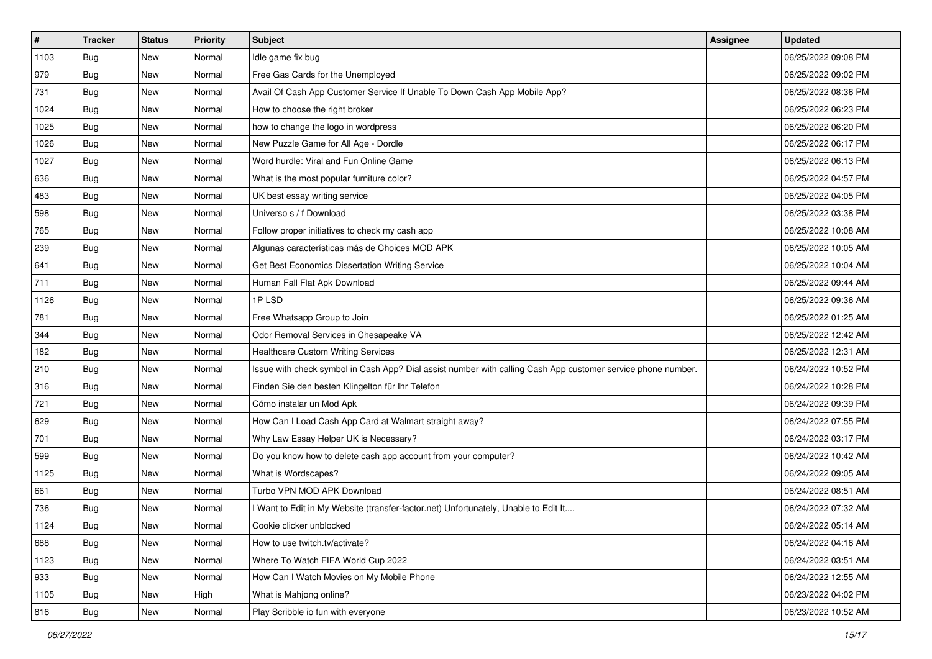| $\vert$ # | <b>Tracker</b> | <b>Status</b> | Priority | Subject                                                                                                      | <b>Assignee</b> | <b>Updated</b>      |
|-----------|----------------|---------------|----------|--------------------------------------------------------------------------------------------------------------|-----------------|---------------------|
| 1103      | <b>Bug</b>     | New           | Normal   | Idle game fix bug                                                                                            |                 | 06/25/2022 09:08 PM |
| 979       | <b>Bug</b>     | New           | Normal   | Free Gas Cards for the Unemployed                                                                            |                 | 06/25/2022 09:02 PM |
| 731       | <b>Bug</b>     | New           | Normal   | Avail Of Cash App Customer Service If Unable To Down Cash App Mobile App?                                    |                 | 06/25/2022 08:36 PM |
| 1024      | <b>Bug</b>     | New           | Normal   | How to choose the right broker                                                                               |                 | 06/25/2022 06:23 PM |
| 1025      | Bug            | <b>New</b>    | Normal   | how to change the logo in wordpress                                                                          |                 | 06/25/2022 06:20 PM |
| 1026      | <b>Bug</b>     | New           | Normal   | New Puzzle Game for All Age - Dordle                                                                         |                 | 06/25/2022 06:17 PM |
| 1027      | Bug            | New           | Normal   | Word hurdle: Viral and Fun Online Game                                                                       |                 | 06/25/2022 06:13 PM |
| 636       | Bug            | New           | Normal   | What is the most popular furniture color?                                                                    |                 | 06/25/2022 04:57 PM |
| 483       | <b>Bug</b>     | New           | Normal   | UK best essay writing service                                                                                |                 | 06/25/2022 04:05 PM |
| 598       | Bug            | <b>New</b>    | Normal   | Universo s / f Download                                                                                      |                 | 06/25/2022 03:38 PM |
| 765       | <b>Bug</b>     | New           | Normal   | Follow proper initiatives to check my cash app                                                               |                 | 06/25/2022 10:08 AM |
| 239       | <b>Bug</b>     | New           | Normal   | Algunas características más de Choices MOD APK                                                               |                 | 06/25/2022 10:05 AM |
| 641       | Bug            | <b>New</b>    | Normal   | Get Best Economics Dissertation Writing Service                                                              |                 | 06/25/2022 10:04 AM |
| 711       | <b>Bug</b>     | New           | Normal   | Human Fall Flat Apk Download                                                                                 |                 | 06/25/2022 09:44 AM |
| 1126      | <b>Bug</b>     | New           | Normal   | 1PLSD                                                                                                        |                 | 06/25/2022 09:36 AM |
| 781       | Bug            | New           | Normal   | Free Whatsapp Group to Join                                                                                  |                 | 06/25/2022 01:25 AM |
| 344       | <b>Bug</b>     | New           | Normal   | Odor Removal Services in Chesapeake VA                                                                       |                 | 06/25/2022 12:42 AM |
| 182       | <b>Bug</b>     | New           | Normal   | <b>Healthcare Custom Writing Services</b>                                                                    |                 | 06/25/2022 12:31 AM |
| 210       | <b>Bug</b>     | New           | Normal   | Issue with check symbol in Cash App? Dial assist number with calling Cash App customer service phone number. |                 | 06/24/2022 10:52 PM |
| 316       | <b>Bug</b>     | New           | Normal   | Finden Sie den besten Klingelton für Ihr Telefon                                                             |                 | 06/24/2022 10:28 PM |
| 721       | Bug            | New           | Normal   | Cómo instalar un Mod Apk                                                                                     |                 | 06/24/2022 09:39 PM |
| 629       | <b>Bug</b>     | New           | Normal   | How Can I Load Cash App Card at Walmart straight away?                                                       |                 | 06/24/2022 07:55 PM |
| 701       | Bug            | <b>New</b>    | Normal   | Why Law Essay Helper UK is Necessary?                                                                        |                 | 06/24/2022 03:17 PM |
| 599       | <b>Bug</b>     | New           | Normal   | Do you know how to delete cash app account from your computer?                                               |                 | 06/24/2022 10:42 AM |
| 1125      | <b>Bug</b>     | New           | Normal   | What is Wordscapes?                                                                                          |                 | 06/24/2022 09:05 AM |
| 661       | Bug            | New           | Normal   | Turbo VPN MOD APK Download                                                                                   |                 | 06/24/2022 08:51 AM |
| 736       | <b>Bug</b>     | New           | Normal   | Want to Edit in My Website (transfer-factor.net) Unfortunately, Unable to Edit It                            |                 | 06/24/2022 07:32 AM |
| 1124      | <b>Bug</b>     | New           | Normal   | Cookie clicker unblocked                                                                                     |                 | 06/24/2022 05:14 AM |
| 688       | <b>Bug</b>     | New           | Normal   | How to use twitch.tv/activate?                                                                               |                 | 06/24/2022 04:16 AM |
| 1123      | <b>Bug</b>     | New           | Normal   | Where To Watch FIFA World Cup 2022                                                                           |                 | 06/24/2022 03:51 AM |
| 933       | Bug            | New           | Normal   | How Can I Watch Movies on My Mobile Phone                                                                    |                 | 06/24/2022 12:55 AM |
| 1105      | Bug            | New           | High     | What is Mahjong online?                                                                                      |                 | 06/23/2022 04:02 PM |
| 816       | <b>Bug</b>     | New           | Normal   | Play Scribble io fun with everyone                                                                           |                 | 06/23/2022 10:52 AM |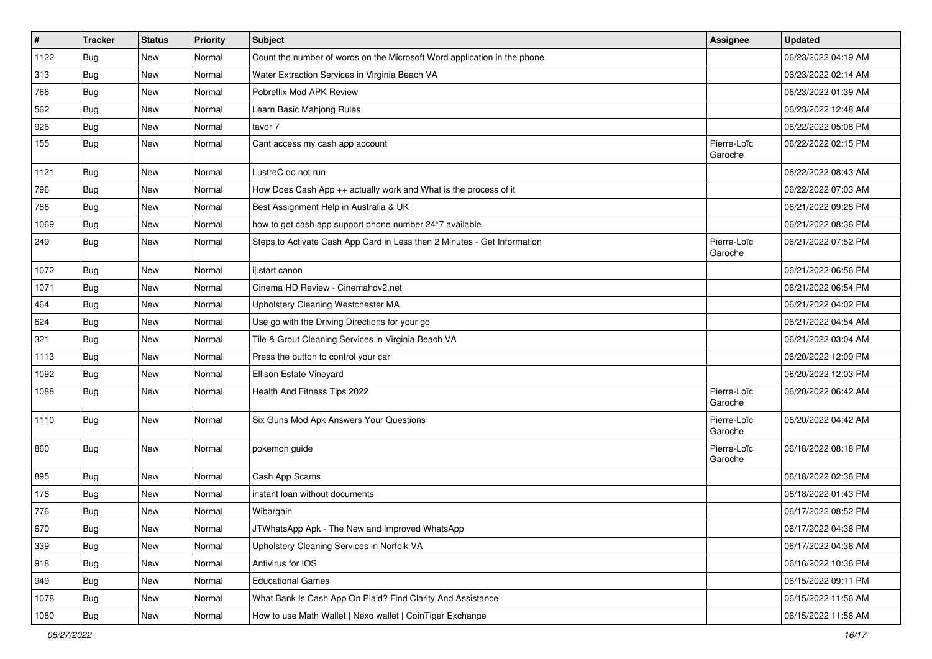| $\vert$ # | <b>Tracker</b> | <b>Status</b> | Priority | <b>Subject</b>                                                           | Assignee               | <b>Updated</b>      |
|-----------|----------------|---------------|----------|--------------------------------------------------------------------------|------------------------|---------------------|
| 1122      | <b>Bug</b>     | New           | Normal   | Count the number of words on the Microsoft Word application in the phone |                        | 06/23/2022 04:19 AM |
| 313       | Bug            | <b>New</b>    | Normal   | Water Extraction Services in Virginia Beach VA                           |                        | 06/23/2022 02:14 AM |
| 766       | Bug            | New           | Normal   | Pobreflix Mod APK Review                                                 |                        | 06/23/2022 01:39 AM |
| 562       | <b>Bug</b>     | New           | Normal   | Learn Basic Mahjong Rules                                                |                        | 06/23/2022 12:48 AM |
| 926       | <b>Bug</b>     | <b>New</b>    | Normal   | tavor 7                                                                  |                        | 06/22/2022 05:08 PM |
| 155       | Bug            | New           | Normal   | Cant access my cash app account                                          | Pierre-Loïc<br>Garoche | 06/22/2022 02:15 PM |
| 1121      | Bug            | <b>New</b>    | Normal   | LustreC do not run                                                       |                        | 06/22/2022 08:43 AM |
| 796       | <b>Bug</b>     | New           | Normal   | How Does Cash App ++ actually work and What is the process of it         |                        | 06/22/2022 07:03 AM |
| 786       | <b>Bug</b>     | <b>New</b>    | Normal   | Best Assignment Help in Australia & UK                                   |                        | 06/21/2022 09:28 PM |
| 1069      | Bug            | New           | Normal   | how to get cash app support phone number 24*7 available                  |                        | 06/21/2022 08:36 PM |
| 249       | <b>Bug</b>     | New           | Normal   | Steps to Activate Cash App Card in Less then 2 Minutes - Get Information | Pierre-Loïc<br>Garoche | 06/21/2022 07:52 PM |
| 1072      | Bug            | <b>New</b>    | Normal   | ij.start canon                                                           |                        | 06/21/2022 06:56 PM |
| 1071      | Bug            | New           | Normal   | Cinema HD Review - Cinemahdv2.net                                        |                        | 06/21/2022 06:54 PM |
| 464       | Bug            | New           | Normal   | Upholstery Cleaning Westchester MA                                       |                        | 06/21/2022 04:02 PM |
| 624       | <b>Bug</b>     | New           | Normal   | Use go with the Driving Directions for your go                           |                        | 06/21/2022 04:54 AM |
| 321       | Bug            | <b>New</b>    | Normal   | Tile & Grout Cleaning Services in Virginia Beach VA                      |                        | 06/21/2022 03:04 AM |
| 1113      | <b>Bug</b>     | New           | Normal   | Press the button to control your car                                     |                        | 06/20/2022 12:09 PM |
| 1092      | <b>Bug</b>     | New           | Normal   | Ellison Estate Vineyard                                                  |                        | 06/20/2022 12:03 PM |
| 1088      | <b>Bug</b>     | New           | Normal   | Health And Fitness Tips 2022                                             | Pierre-Loïc<br>Garoche | 06/20/2022 06:42 AM |
| 1110      | Bug            | New           | Normal   | Six Guns Mod Apk Answers Your Questions                                  | Pierre-Loïc<br>Garoche | 06/20/2022 04:42 AM |
| 860       | Bug            | <b>New</b>    | Normal   | pokemon guide                                                            | Pierre-Loïc<br>Garoche | 06/18/2022 08:18 PM |
| 895       | Bug            | New           | Normal   | Cash App Scams                                                           |                        | 06/18/2022 02:36 PM |
| 176       | <b>Bug</b>     | New           | Normal   | instant loan without documents                                           |                        | 06/18/2022 01:43 PM |
| 776       | <b>Bug</b>     | <b>New</b>    | Normal   | Wibargain                                                                |                        | 06/17/2022 08:52 PM |
| 670       | Bug            | New           | Normal   | JTWhatsApp Apk - The New and Improved WhatsApp                           |                        | 06/17/2022 04:36 PM |
| 339       | Bug            | New           | Normal   | Upholstery Cleaning Services in Norfolk VA                               |                        | 06/17/2022 04:36 AM |
| 918       | Bug            | New           | Normal   | Antivirus for IOS                                                        |                        | 06/16/2022 10:36 PM |
| 949       | <b>Bug</b>     | New           | Normal   | <b>Educational Games</b>                                                 |                        | 06/15/2022 09:11 PM |
| 1078      | Bug            | New           | Normal   | What Bank Is Cash App On Plaid? Find Clarity And Assistance              |                        | 06/15/2022 11:56 AM |
| 1080      | <b>Bug</b>     | New           | Normal   | How to use Math Wallet   Nexo wallet   CoinTiger Exchange                |                        | 06/15/2022 11:56 AM |